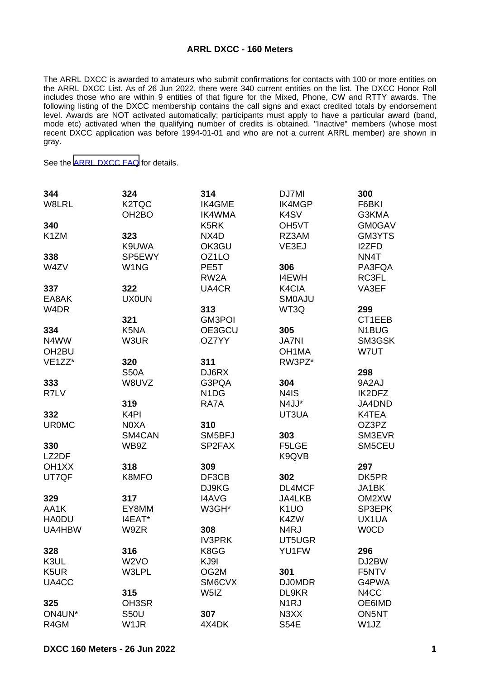## **ARRL DXCC - 160 Meters**

The ARRL DXCC is awarded to amateurs who submit confirmations for contacts with 100 or more entities on the ARRL DXCC List. As of 26 Jun 2022, there were 340 current entities on the list. The DXCC Honor Roll includes those who are within 9 entities of that figure for the Mixed, Phone, CW and RTTY awards. The following listing of the DXCC membership contains the call signs and exact credited totals by endorsement level. Awards are NOT activated automatically; participants must apply to have a particular award (band, mode etc) activated when the qualifying number of credits is obtained. "Inactive" members (whose most recent DXCC application was before 1994-01-01 and who are not a current ARRL member) are shown in gray.

See the [ARRL DXCC FAQ](http://www.arrl.org/dxcc-faq/) for details.

| 344                | 324                | 314                           | DJ7MI                         | 300           |
|--------------------|--------------------|-------------------------------|-------------------------------|---------------|
| W8LRL              | K2TQC              | IK4GME                        | <b>IK4MGP</b>                 | F6BKI         |
|                    | OH <sub>2</sub> BO | IK4WMA                        | K <sub>4</sub> SV             | G3KMA         |
| 340                |                    | K <sub>5</sub> RK             | OH <sub>5</sub> VT            | <b>GM0GAV</b> |
| K <sub>1</sub> ZM  | 323                | NX4D                          | RZ3AM                         | GM3YTS        |
|                    | K9UWA              | OK3GU                         | VE3EJ                         | <b>I2ZFD</b>  |
| 338                | SP5EWY             | OZ1LO                         |                               | NN4T          |
| W4ZV               | W <sub>1</sub> NG  | PE <sub>5</sub> T             | 306                           | PA3FQA        |
|                    |                    | RW <sub>2</sub> A             | <b>I4EWH</b>                  | RC3FL         |
| 337                | 322                | UA4CR                         | K4CIA                         | VA3EF         |
| EA8AK              | <b>UX0UN</b>       |                               | <b>SMOAJU</b>                 |               |
| W <sub>4</sub> DR  |                    | 313                           | WT3Q                          | 299           |
|                    | 321                | <b>GM3POI</b>                 |                               | CT1EEB        |
| 334                | K5NA               | OE3GCU                        | 305                           | N1BUG         |
| N4WW               | W3UR               | OZ7YY                         | <b>JA7NI</b>                  | SM3GSK        |
| OH <sub>2</sub> BU |                    |                               | OH <sub>1</sub> MA            | W7UT          |
| VE1ZZ*             | 320                | 311                           | RW3PZ*                        |               |
|                    | <b>S50A</b>        | DJ6RX                         |                               | 298           |
| 333                | W8UVZ              | G3PQA                         | 304                           | 9A2AJ         |
| R7LV               |                    | N <sub>1</sub> D <sub>G</sub> | N4IS                          | IK2DFZ        |
|                    | 319                | RA7A                          | N4JJ*                         | JA4DND        |
| 332                | K <sub>4</sub> PI  |                               | UT3UA                         | K4TEA         |
| <b>UR0MC</b>       | N0XA               | 310                           |                               | OZ3PZ         |
|                    | SM4CAN             | SM5BFJ                        | 303                           | SM3EVR        |
| 330                | WB9Z               | SP2FAX                        | F5LGE                         | SM5CEU        |
| LZ2DF              |                    |                               | K9QVB                         |               |
| OH <sub>1</sub> XX | 318                | 309                           |                               | 297           |
| UT7QF              | K8MFO              | DF3CB                         | 302                           | DK5PR         |
|                    |                    | DJ9KG                         | DL4MCF                        | JA1BK         |
| 329                | 317                | I4AVG                         | JA4LKB                        | OM2XW         |
| AA1K               | EY8MM              | W3GH*                         | K <sub>1</sub> UO             | SP3EPK        |
| <b>HA0DU</b>       | I4EAT*             |                               | K4ZW                          | UX1UA         |
| UA4HBW             | W9ZR               | 308                           | N <sub>4</sub> RJ             | <b>WOCD</b>   |
|                    |                    | <b>IV3PRK</b>                 | UT5UGR                        |               |
| 328                | 316                | K8GG                          | YU1FW                         | 296           |
| K3UL               | W <sub>2</sub> VO  | KJ9I                          |                               | DJ2BW         |
| K <sub>5</sub> UR  | W3LPL              | OG2M                          | 301                           | F5NTV         |
| UA4CC              |                    | SM6CVX                        | <b>DJ0MDR</b>                 | G4PWA         |
|                    | 315                | W <sub>5</sub> IZ             | DL9KR                         | N4CC          |
| 325                | OH3SR              |                               | N <sub>1</sub> RJ             | OE6IMD        |
| ON4UN*             | <b>S50U</b>        | 307                           | N <sub>3</sub> X <sub>X</sub> | ON5NT         |
| R4GM               | W <sub>1</sub> JR  | 4X4DK                         | <b>S54E</b>                   | W1JZ          |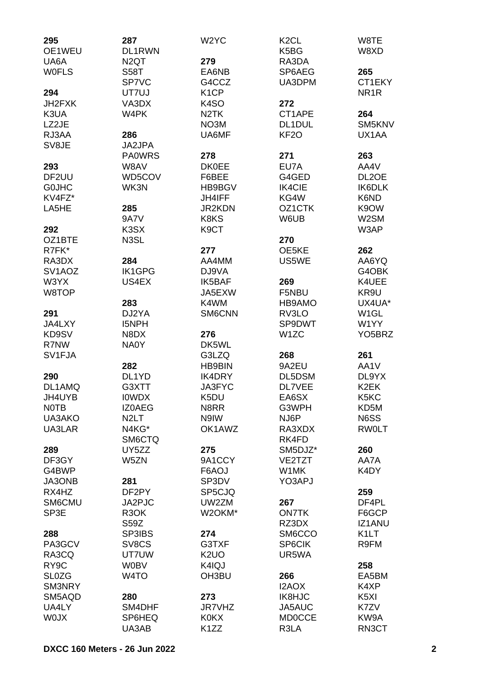| 295<br>OE1WEU       | 287<br>DL1RWN     | W <sub>2</sub> YC | K <sub>2</sub> CL<br>K <sub>5</sub> BG | W8TE<br>W8XD        |
|---------------------|-------------------|-------------------|----------------------------------------|---------------------|
| UA6A                | N <sub>2</sub> QT | 279               | RA3DA                                  |                     |
| <b>WOFLS</b>        | <b>S58T</b>       | EA6NB             | SP6AEG                                 | 265                 |
|                     | SP7VC             | G4CCZ             | UA3DPM                                 | CT1EKY              |
| 294                 | UT7UJ             | K <sub>1</sub> CP |                                        | NR <sub>1</sub> R   |
| JH2FXK              | VA3DX             | K <sub>4</sub> SO | 272                                    |                     |
| K3UA                | W4PK              | N <sub>2</sub> TK | CT1APE                                 | 264                 |
| LZ2JE               |                   | NO3M              | DL1DUL                                 | SM5KNV              |
|                     |                   | UA6MF             | KF <sub>20</sub>                       | UX1AA               |
| RJ3AA               | 286               |                   |                                        |                     |
| SV8JE               | JA2JPA            |                   |                                        |                     |
|                     | <b>PA0WRS</b>     | 278               | 271                                    | 263                 |
| 293                 | W8AV              | <b>DK0EE</b>      | EU7A                                   | AA4V                |
| DF <sub>2UU</sub>   | WD5COV            | F6BEE             | G4GED                                  | DL2OE               |
| <b>GOJHC</b>        | WK3N              | HB9BGV            | <b>IK4CIE</b>                          | <b>IK6DLK</b>       |
| KV4FZ*              |                   | JH4IFF            | KG4W                                   | K6ND                |
| LA5HE               | 285               | <b>JR2KDN</b>     | OZ1CTK                                 | K9OW                |
|                     | <b>9A7V</b>       | K8KS              | W6UB                                   | W2SM                |
| 292                 | K <sub>3</sub> SX | K <sub>9</sub> CT |                                        | W3AP                |
| OZ1BTE              | N3SL              |                   | 270                                    |                     |
| R7FK*               |                   | 277               | OE5KE                                  | 262                 |
| RA3DX               | 284               | AA4MM             | US5WE                                  | AA6YQ               |
| SV <sub>1</sub> AOZ | <b>IK1GPG</b>     | DJ9VA             |                                        | G4OBK               |
| W3YX                | US4EX             | IK5BAF            | 269                                    | K4UEE               |
| W8TOP               |                   | JA5EXW            | F5NBU                                  | KR9U                |
|                     | 283               | K4WM              | HB9AMO                                 | UX4UA*              |
| 291                 | DJ2YA             | SM6CNN            | RV3LO                                  | W <sub>1</sub> GL   |
| JA4LXY              | <b>I5NPH</b>      |                   | SP9DWT                                 | W1YY                |
| KD9SV               | N8DX              | 276               | W <sub>1</sub> ZC                      | YO <sub>5</sub> BRZ |
| R7NW                | NA0Y              | DK5WL             |                                        |                     |
| SV1FJA              |                   | G3LZQ             | 268                                    | 261                 |
|                     | 282               | <b>HB9BIN</b>     | 9A2EU                                  | AA1V                |
| 290                 | DL1YD             | IK4DRY            | DL5DSM                                 | DL9YX               |
| DL1AMQ              | G3XTT             | <b>JA3FYC</b>     | DL7VEE                                 | K <sub>2</sub> EK   |
| JH4UYB              | <b>IOWDX</b>      | K <sub>5</sub> DU | EA6SX                                  | K5KC                |
| <b>NOTB</b>         | <b>IZ0AEG</b>     | N8RR              | G3WPH                                  | KD5M                |
| UA3AKO              | N <sub>2</sub> LT | N9IW              | NJ6P                                   | N6SS                |
| UA3LAR              | N4KG*             | OK1AWZ            | RA3XDX                                 | <b>RWOLT</b>        |
|                     | SM6CTQ            |                   | RK4FD                                  |                     |
| 289                 | UY5ZZ             | 275               | SM5DJZ*                                | 260                 |
| DF3GY               | W5ZN              | 9A1CCY            | VE2TZT                                 | AA7A                |
| G4BWP               |                   | F6AOJ             | W1MK                                   | K4DY                |
| JA3ONB              | 281               | SP3DV             | YO3APJ                                 |                     |
| RX4HZ               | DF2PY             | SP5CJQ            |                                        | 259                 |
| SM6CMU              | JA2PJC            | UW2ZM             | 267                                    | DF4PL               |
| SP3E                | R3OK              | W2OKM*            | <b>ON7TK</b>                           | F6GCP               |
|                     | S59Z              |                   | RZ3DX                                  | <b>IZ1ANU</b>       |
| 288                 | SP3IBS            | 274               | SM6CCO                                 | K <sub>1</sub> LT   |
| PA3GCV              | SV8CS             | G3TXF             | SP6CIK                                 | R9FM                |
| RA3CQ               | UT7UW             | K <sub>2</sub> UO | UR5WA                                  |                     |
| RY <sub>9</sub> C   | <b>W0BV</b>       | K4IQJ             |                                        | 258                 |
| <b>SL0ZG</b>        | W <sub>4</sub> TO | OH3BU             | 266                                    | EA5BM               |
| SM3NRY              |                   |                   | I2AOX                                  | K4XP                |
| SM5AQD              | 280               | 273               | <b>IK8HJC</b>                          | K5XI                |
| UA4LY               | SM4DHF            | <b>JR7VHZ</b>     | JA5AUC                                 | K7ZV                |
| <b>WOJX</b>         | SP6HEQ            | <b>K0KX</b>       | <b>MD0CCE</b>                          | KW9A                |
|                     | UA3AB             | K <sub>1</sub> ZZ | R3LA                                   | RN3CT               |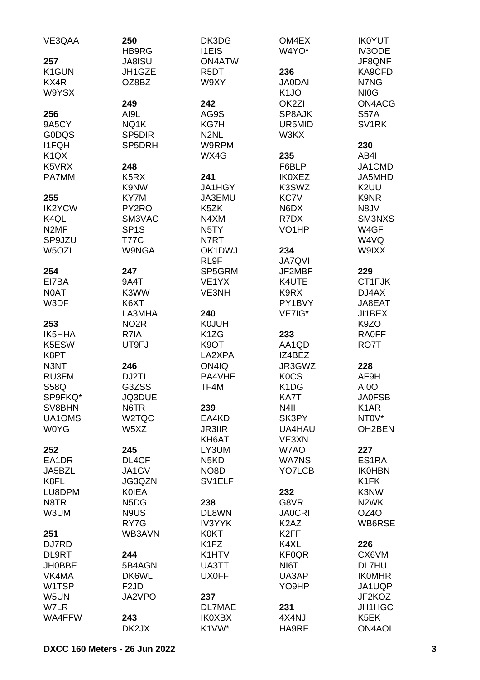| VE3QAA                        | 250<br>HB9RG                    | DK3DG<br><b>I1EIS</b>      | OM4EX<br>W4YO*                | <b>IK0YUT</b><br>IV3ODE            |
|-------------------------------|---------------------------------|----------------------------|-------------------------------|------------------------------------|
| 257                           | <b>JA8ISU</b>                   | <b>ON4ATW</b>              |                               | JF8QNF                             |
| K1GUN                         | JH1GZE                          | R <sub>5</sub> DT          | 236                           | KA9CFD                             |
| KX4R                          | OZ8BZ                           | W9XY                       | <b>JA0DAI</b>                 | N7NG                               |
| W9YSX                         |                                 |                            | K <sub>1</sub> JO             | NI <sub>O</sub> G                  |
|                               | 249                             | 242                        | OK <sub>2ZI</sub>             | ON4ACG                             |
| 256                           | AI9L                            | AG9S                       | SP8AJK                        | <b>S57A</b>                        |
| 9A5CY                         | NQ1K                            | KG7H                       | UR5MID                        | SV <sub>1</sub> RK                 |
| <b>GODQS</b>                  | SP <sub>5</sub> D <sub>IR</sub> | N <sub>2</sub> NL          | W3KX                          |                                    |
| <b>I1FQH</b>                  | SP5DRH                          | W9RPM                      |                               | 230                                |
| K <sub>1</sub> Q <sub>X</sub> |                                 | WX4G                       | 235                           | AB4I                               |
| K5VRX                         | 248                             |                            | F6BLP                         | JA1CMD                             |
| PA7MM                         | K <sub>5</sub> R <sub>X</sub>   | 241                        | <b>IK0XEZ</b>                 | JA5MHD                             |
|                               | K9NW                            | JA1HGY                     | K3SWZ                         | K <sub>2</sub> UU                  |
| 255                           | KY7M                            | JA3EMU                     | <b>KC7V</b>                   | K9NR                               |
| <b>IK2YCW</b>                 | PY2RO                           | K5ZK                       | N6DX                          | N8JV                               |
| K <sub>4</sub> QL             | SM3VAC                          | N4XM                       | R7DX                          | SM3NXS                             |
| N <sub>2</sub> MF             | SP <sub>1</sub> S               | N <sub>5</sub> TY          | VO <sub>1</sub> HP            | W4GF                               |
| SP9JZU                        | <b>T77C</b>                     | N7RT                       |                               | W4VQ                               |
| W <sub>5</sub> OZI            | <b>W9NGA</b>                    | OK1DWJ                     | 234                           | W9IXX                              |
|                               |                                 | RL9F                       | <b>JA7QVI</b>                 |                                    |
| 254                           | 247                             | SP5GRM                     | JF2MBF                        | 229                                |
| EI7BA                         | 9A4T                            | VE <sub>1</sub> YX         | K4UTE                         | CT1FJK                             |
| N0AT                          | K3WW                            | VE3NH                      | K9RX                          | DJ4AX                              |
| W3DF                          | K6XT                            |                            | PY1BVY                        | JA8EAT                             |
|                               | LA3MHA                          | 240                        | VE7IG*                        | JI1BEX                             |
| 253                           | NO <sub>2</sub> R               | <b>K0JUH</b>               |                               | K9ZO                               |
| <b>IK5HHA</b>                 | R7IA                            | K <sub>1</sub> ZG          | 233                           | <b>RAOFF</b>                       |
| K5ESW                         | UT9FJ                           | K <sub>9</sub> OT          | AA1QD                         | RO7T                               |
| K8PT                          |                                 | LA2XPA                     | IZ4BEZ                        |                                    |
| N3NT                          | 246                             | ON4IQ                      | JR3GWZ                        | 228                                |
| RU3FM                         | DJ2TI                           | PA4VHF                     | <b>KOCS</b>                   | AF9H                               |
| <b>S58Q</b>                   | G3ZSS                           | TF4M                       | K <sub>1</sub> D <sub>G</sub> | AI0O                               |
| SP9FKQ*                       | JQ3DUE                          |                            | KA7T                          | <b>JA0FSB</b>                      |
| SV8BHN                        | N6TR                            | 239                        | N <sub>4</sub> II             | K <sub>1</sub> AR                  |
| UA1OMS                        | W2TQC                           | EA4KD                      | SK3PY                         | NT0V*                              |
| <b>W0YG</b>                   | W5XZ                            | <b>JR3IIR</b>              | <b>UA4HAU</b>                 | OH2BEN                             |
|                               |                                 | KH6AT                      | VE3XN                         |                                    |
| 252                           | 245                             | LY3UM                      | W7AO                          | 227<br>ES1RA                       |
| EA1DR                         | DL4CF                           | N <sub>5</sub> KD          | <b>WA7NS</b>                  |                                    |
| JA5BZL<br>K8FL                | JA1GV<br>JG3QZN                 | NO8D<br>SV <sub>1ELF</sub> | YO7LCB                        | <b>IK0HBN</b><br>K <sub>1</sub> FK |
| LU8DPM                        | <b>KOIEA</b>                    |                            | 232                           | K3NW                               |
| N8TR                          | N <sub>5</sub> D <sub>G</sub>   | 238                        | G8VR                          | N <sub>2</sub> WK                  |
| W3UM                          | N9US                            | DL8WN                      | <b>JA0CRI</b>                 | OZ4O                               |
|                               | RY7G                            | <b>IV3YYK</b>              | K <sub>2</sub> A <sub>Z</sub> | WB6RSE                             |
| 251                           | WB3AVN                          | <b>K0KT</b>                | K <sub>2</sub> FF             |                                    |
| DJ7RD                         |                                 | K <sub>1</sub> FZ          | K4XL                          | 226                                |
| DL9RT                         | 244                             | K1HTV                      | <b>KF0QR</b>                  | CX6VM                              |
| <b>JH0BBE</b>                 | 5B4AGN                          | UA3TT                      | NI6T                          | DL7HU                              |
| VK4MA                         | DK6WL                           | <b>UX0FF</b>               | UA3AP                         | <b>IKOMHR</b>                      |
| W1TSP                         | F <sub>2</sub> JD               |                            | YO9HP                         | JA1UQP                             |
| W5UN                          | JA2VPO                          | 237                        |                               | JF2KOZ                             |
| W7LR                          |                                 | DL7MAE                     | 231                           | JH1HGC                             |
| WA4FFW                        | 243                             | <b>IK0XBX</b>              | 4X4NJ                         | K5EK                               |
|                               | DK2JX                           | K1VW*                      | HA9RE                         | <b>ON4AOI</b>                      |
|                               |                                 |                            |                               |                                    |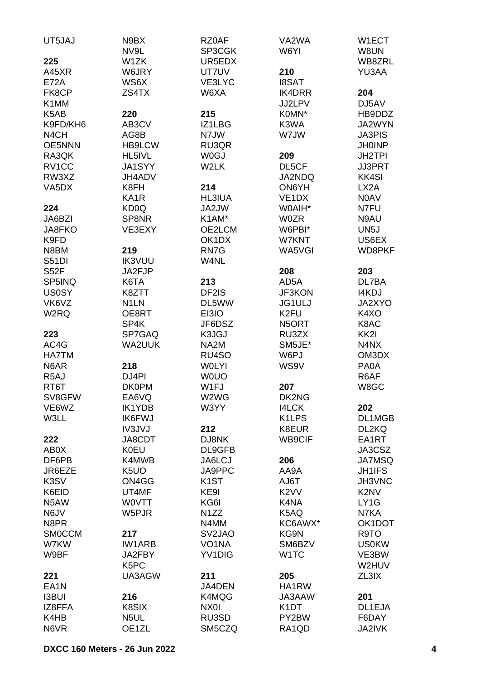| UT5JAJ                   | N9BX<br>NV9L                           | RZ0AF<br>SP3CGK     | VA2WA<br>W6YI                 | W1ECT<br>W8UN                 |
|--------------------------|----------------------------------------|---------------------|-------------------------------|-------------------------------|
| 225                      | W1ZK                                   | UR5EDX              |                               | WB8ZRL                        |
| A45XR                    | W6JRY                                  | UT7UV               | 210                           | YU3AA                         |
| <b>E72A</b>              | WS6X                                   | VE3LYC              | <b>I8SAT</b>                  |                               |
| FK8CP                    | ZS4TX                                  | W6XA                | <b>IK4DRR</b>                 | 204                           |
| K1MM                     |                                        |                     | JJ2LPV                        | DJ5AV                         |
| K5AB                     | 220                                    | 215                 | K0MN*                         | HB9DDZ                        |
| K9FD/KH6                 | AB3CV                                  | IZ1LBG              | K3WA                          | JA2WYN                        |
| N <sub>4</sub> CH        | AG8B                                   | N7JW                | W7JW                          | <b>JA3PIS</b>                 |
| <b>OE5NNN</b>            | <b>HB9LCW</b>                          | RU3QR               |                               | <b>JH0INP</b>                 |
| RA3QK                    | HL5IVL                                 | <b>W0GJ</b>         | 209                           | <b>JH2TPI</b>                 |
| RV1CC                    | JA1SYY                                 | W2LK                | DL5CF                         | <b>JJ3PRT</b>                 |
| RW3XZ                    | JH4ADV                                 |                     | <b>JA2NDQ</b>                 | <b>KK4SI</b>                  |
| VA5DX                    | K8FH                                   | 214                 | ON6YH                         | LX <sub>2</sub> A             |
|                          | KA <sub>1</sub> R<br>KD <sub>0</sub> Q | <b>HL3IUA</b>       | VE <sub>1</sub> DX            | N0AV                          |
| 224<br>JA6BZI            | SP8NR                                  | JA2JW<br>K1AM*      | W0AIH*<br><b>W0ZR</b>         | N7FU<br>N9AU                  |
| JA8FKO                   | VE3EXY                                 | OE2LCM              | W6PBI*                        | UN <sub>5</sub> J             |
| K9FD                     |                                        | OK1DX               | W7KNT                         | US6EX                         |
| N8BM                     | 219                                    | RN7G                | WA5VGI                        | WD8PKF                        |
| <b>S51DI</b>             | <b>IK3VUU</b>                          | W4NL                |                               |                               |
| <b>S52F</b>              | JA2FJP                                 |                     | 208                           | 203                           |
| SP5INQ                   | K6TA                                   | 213                 | AD <sub>5</sub> A             | DL7BA                         |
| <b>US0SY</b>             | K8ZTT                                  | DF2IS               | <b>JF3KON</b>                 | I4KDJ                         |
| VK6VZ                    | N <sub>1</sub> LN                      | DL5WW               | <b>JG1ULJ</b>                 | JA2XYO                        |
| W <sub>2</sub> RQ        | OE8RT                                  | EI3IO               | K <sub>2FU</sub>              | K4XO                          |
|                          | SP4K                                   | JF6DSZ              | N5ORT                         | K8AC                          |
| 223                      | SP7GAQ                                 | K3JGJ               | RU3ZX                         | KK <sub>2</sub> I             |
| AC4G                     | <b>WA2UUK</b>                          | NA <sub>2</sub> M   | SM5JE*                        | N4NX                          |
| <b>HA7TM</b>             |                                        | RU4SO               | W6PJ                          | OM3DX                         |
| N6AR                     | 218                                    | <b>WOLYI</b>        | WS9V                          | PA0A                          |
| R <sub>5</sub> AJ        | DJ4PI                                  | <b>WOUO</b>         |                               | R6AF                          |
| RT6T                     | <b>DK0PM</b>                           | W1FJ                | 207                           | W8GC                          |
| SV8GFW                   | EA6VQ                                  | W2WG                | DK2NG                         |                               |
| VE6WZ                    | <b>IK1YDB</b>                          | W3YY                | <b>I4LCK</b>                  | 202                           |
| W3LL                     | <b>IK6FWJ</b>                          |                     | K1LPS                         | DL1MGB                        |
|                          | IV3JVJ                                 | 212                 | K8EUR                         | DL2KQ                         |
| 222                      | JA8CDT                                 | DJ8NK               | WB9CIF                        | EA1RT                         |
| AB0X                     | <b>K0EU</b>                            | DL9GFB              |                               | JA3CSZ                        |
| DF6PB                    | K4MWB                                  | JA6LCJ              | 206                           | <b>JA7MSQ</b>                 |
| JR6EZE                   | K <sub>5</sub> UO                      | JA9PPC              | AA9A                          | <b>JH1IFS</b>                 |
| K3SV                     | ON4GG                                  | K <sub>1</sub> ST   | T <sub>a</sub> UA             | JH3VNC                        |
| K6EID                    | UT4MF                                  | KE9I                | K <sub>2</sub> V <sub>V</sub> | K <sub>2</sub> N <sub>V</sub> |
| N <sub>5</sub> AW        | <b>WOVTT</b>                           | KG6I                | K4NA                          | LY1G                          |
| N6JV                     | W5PJR                                  | N <sub>1</sub> ZZ   | K5AQ                          | N7KA                          |
| N8PR                     |                                        | N4MM                | KC6AWX*                       | OK1DOT                        |
| <b>SMOCCM</b>            | 217                                    | SV <sub>2</sub> JAO | KG9N                          | R9TO                          |
| W7KW                     | <b>IW1ARB</b>                          | VO <sub>1</sub> NA  | SM6BZV                        | <b>US0KW</b>                  |
| W9BF                     | JA2FBY<br>K <sub>5</sub> PC            | YV1DIG              | W <sub>1</sub> TC             | VE3BW                         |
|                          | UA3AGW                                 | 211                 |                               | W2HUV                         |
| 221<br>EA <sub>1</sub> N |                                        | JA4DEN              | 205<br>HA1RW                  | ZL3IX                         |
| <b>I3BUI</b>             | 216                                    | K4MQG               | JA3AAW                        | 201                           |
| IZ8FFA                   | K8SIX                                  | NX0I                | K1DT                          | DL1EJA                        |
| K4HB                     | N5UL                                   | RU3SD               | PY2BW                         | F6DAY                         |
| N6VR                     | OE1ZL                                  | SM5CZQ              | RA1QD                         | JA2IVK                        |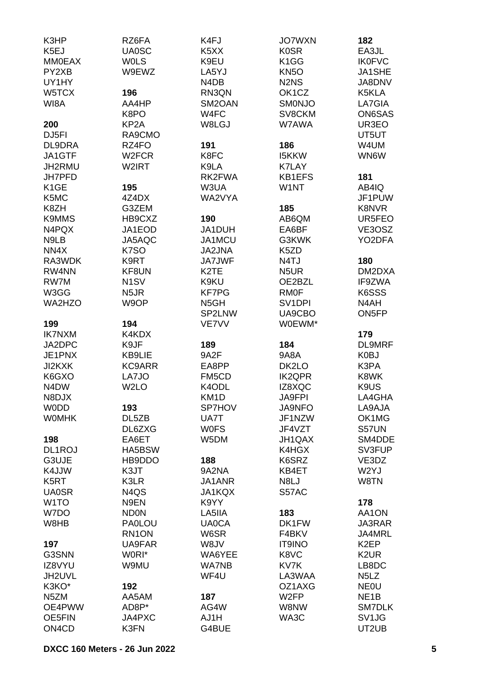| K3HP                          | RZ6FA              | K4FJ                          | <b>JO7WXN</b>                 | 182                           |
|-------------------------------|--------------------|-------------------------------|-------------------------------|-------------------------------|
| K <sub>5E</sub> J             | <b>UA0SC</b>       | K <sub>5</sub> X <sub>X</sub> | <b>K0SR</b>                   | EA3JL                         |
| <b>MM0EAX</b>                 | <b>WOLS</b>        | K9EU                          | K <sub>1</sub> GG             | <b>IK0FVC</b>                 |
| PY2XB                         | W9EWZ              | LA5YJ                         | <b>KN5O</b>                   | JA1SHE                        |
| UY1HY                         |                    | N4DB                          | N <sub>2</sub> N <sub>S</sub> | JA8DNV                        |
| W5TCX                         | 196                | RN3QN                         | OK1CZ                         | K5KLA                         |
| WI8A                          | AA4HP              | SM2OAN                        | <b>SMONJO</b>                 | LA7GIA                        |
|                               | K8PO               | W4FC                          | SV8CKM                        | ON6SAS                        |
| 200                           | KP <sub>2</sub> A  | W8LGJ                         | W7AWA                         | UR3EO                         |
|                               |                    |                               |                               |                               |
| DJ <sub>5FI</sub>             | RA9CMO             |                               |                               | UT5UT                         |
| DL9DRA                        | RZ4FO              | 191                           | 186                           | W4UM                          |
| JA1GTF                        | W <sub>2</sub> FCR | K8FC                          | <b>I5KKW</b>                  | WN6W                          |
| JH2RMU                        | W2IRT              | K9LA                          | <b>K7LAY</b>                  |                               |
| JH7PFD                        |                    | RK2FWA                        | <b>KB1EFS</b>                 | 181                           |
| K <sub>1</sub> GE             | 195                | W3UA                          | W1NT                          | AB4IQ                         |
| K5MC                          | 4Z4DX              | WA2VYA                        |                               | JF1PUW                        |
| K8ZH                          | G3ZEM              |                               | 185                           | K8NVR                         |
| <b>K9MMS</b>                  | HB9CXZ             | 190                           | AB6QM                         | UR5FEO                        |
| N4PQX                         | JA1EOD             | JA1DUH                        | EA6BF                         | VE3OSZ                        |
| N9LB                          | JA5AQC             | JA1MCU                        | G3KWK                         | YO2DFA                        |
| NN4X                          | K7SO               | <b>JA2JNA</b>                 | K <sub>5</sub> ZD             |                               |
| RA3WDK                        | K9RT               | <b>JA7JWF</b>                 | N4TJ                          | 180                           |
| RW4NN                         | KF8UN              | K <sub>2</sub> TE             | N5UR                          | DM2DXA                        |
| RW7M                          | N <sub>1</sub> SV  | K9KU                          | OE2BZL                        | IF9ZWA                        |
| W3GG                          | N <sub>5</sub> JR  | <b>KF7PG</b>                  | <b>RMOF</b>                   | K6SSS                         |
|                               |                    |                               |                               |                               |
| <b>WA2HZO</b>                 | W9OP               | N <sub>5</sub> GH             | SV <sub>1</sub> DPI           | N4AH                          |
|                               |                    | SP2LNW                        | UA9CBO                        | ON5FP                         |
| 199                           | 194                | VE7VV                         | W0EWM*                        |                               |
| <b>IK7NXM</b>                 | K4KDX              |                               |                               | 179                           |
| JA2DPC                        | K9JF               | 189                           | 184                           | <b>DL9MRF</b>                 |
| JE1PNX                        | KB9LIE             | 9A2F                          | 9A8A                          | K0BJ                          |
| JI2KXK                        | KC9ARR             | EA8PP                         | DK2LO                         | K3PA                          |
| K6GXO                         | LA7JO              | FM5CD                         | <b>IK2QPR</b>                 | K8WK                          |
| N <sub>4</sub> D <sub>W</sub> | W <sub>2</sub> LO  | K4ODL                         | IZ8XQC                        | K9US                          |
| N8DJX                         |                    | KM1D                          | <b>JA9FPI</b>                 | LA4GHA                        |
| <b>WODD</b>                   | 193                | SP7HOV                        | <b>JA9NFO</b>                 | LA9AJA                        |
| <b>WOMHK</b>                  | DL5ZB              | UA7T                          | JF1NZW                        | OK1MG                         |
|                               | DL6ZXG             | <b>WOFS</b>                   | JF4VZT                        | S57UN                         |
| 198                           | EA6ET              | W5DM                          | JH1QAX                        | SM4DDE                        |
| DL1ROJ                        | HA5BSW             |                               | K4HGX                         | SV3FUP                        |
| G3UJE                         | HB9DDO             | 188                           | K6SRZ                         | VE3DZ                         |
| K4JJW                         |                    | 9A2NA                         | KB4ET                         | W <sub>2</sub> YJ             |
|                               | K3JT               |                               |                               |                               |
| K <sub>5</sub> RT             | K3LR               | JA1ANR                        | N8LJ                          | W8TN                          |
| <b>UA0SR</b>                  | N4QS               | <b>JA1KQX</b>                 | S57AC                         |                               |
| W <sub>1</sub> TO             | N9EN               | K9YY                          |                               | 178                           |
| W7DO                          | <b>ND0N</b>        | LA5IIA                        | 183                           | AA1ON                         |
| W8HB                          | <b>PA0LOU</b>      | <b>UA0CA</b>                  | DK1FW                         | JA3RAR                        |
|                               | RN1ON              | W6SR                          | F4BKV                         | JA4MRL                        |
| 197                           | UA9FAR             | W8JV                          | <b>IT9INO</b>                 | K <sub>2</sub> EP             |
| G3SNN                         | W0RI*              | WA6YEE                        | K8VC                          | K <sub>2</sub> UR             |
| IZ8VYU                        | W9MU               | <b>WA7NB</b>                  | KV7K                          | LB8DC                         |
| JH2UVL                        |                    | WF4U                          | LA3WAA                        | N <sub>5</sub> L <sub>Z</sub> |
| K3KO*                         | 192                |                               | OZ1AXG                        | <b>NEOU</b>                   |
| N <sub>5</sub> ZM             | AA5AM              | 187                           | W <sub>2</sub> FP             | NE <sub>1</sub> B             |
| OE4PWW                        | AD8P*              | AG4W                          | W8NW                          | <b>SM7DLK</b>                 |
| <b>OE5FIN</b>                 | JA4PXC             | AJ1H                          | WA3C                          | SV <sub>1</sub> JG            |
| ON4CD                         | K3FN               | G4BUE                         |                               | UT2UB                         |
|                               |                    |                               |                               |                               |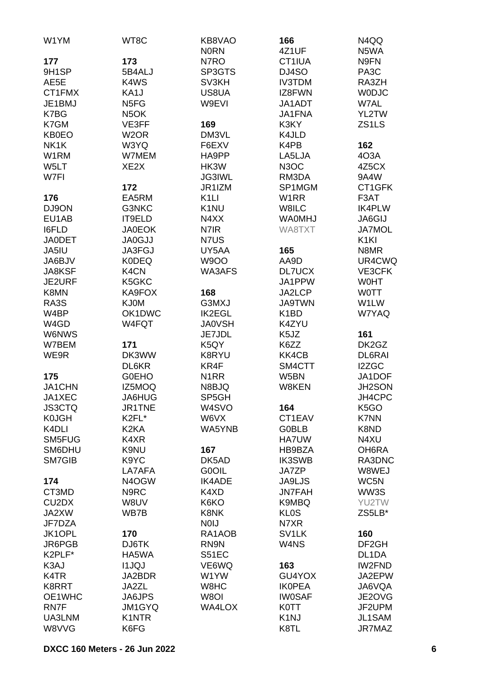| W1YM                           | WT8C              | KB8VAO             | 166                | N4QQ              |
|--------------------------------|-------------------|--------------------|--------------------|-------------------|
|                                |                   | <b>NORN</b>        | 4Z1UF              | N5WA              |
| 177                            | 173               | N7RO               | CT1IUA             | N9FN              |
| 9H1SP                          | 5B4ALJ            | SP3GTS             | DJ4SO              | PA <sub>3</sub> C |
| AE5E                           | K4WS              | SV3KH              | <b>IV3TDM</b>      | RA3ZH             |
| CT1FMX                         | KA1J              | US8UA              | IZ8FWN             | <b>WODJC</b>      |
| JE1BMJ                         | N <sub>5FG</sub>  | W9EVI              | JA1ADT             | W7AL              |
| K7BG                           | N <sub>5</sub> OK |                    | JA1FNA             | YL2TW             |
| K7GM                           | VE3FF             | 169                | K3KY               | ZS1LS             |
| <b>KB0EO</b>                   | W <sub>2</sub> OR | DM3VL              | K4JLD              |                   |
| NK1K                           | W3YQ              | F6EXV              | K4PB               | 162               |
| W1RM                           | W7MEM             | HA9PP              | LA5LJA             | 4O3A              |
| W5LT                           | XE <sub>2</sub> X | HK3W               | N <sub>3</sub> OC  | 4Z5CX             |
| W7FI                           |                   | <b>JG3IWL</b>      | RM3DA              | 9A4W              |
|                                | 172               | JR1IZM             | SP1MGM             | CT1GFK            |
| 176                            | EA5RM             | K <sub>1</sub> LI  | W1RR               | F3AT              |
|                                |                   |                    |                    | <b>IK4PLW</b>     |
| DJ9ON                          | G3NKC             | K <sub>1</sub> NU  | W8ILC              |                   |
| EU1AB                          | IT9ELD            | N4XX               | <b>WA0MHJ</b>      | JA6GIJ            |
| <b>I6FLD</b>                   | <b>JA0EOK</b>     | N7IR               | WA8TXT             | <b>JA7MOL</b>     |
| <b>JA0DET</b>                  | <b>JA0GJJ</b>     | N7US               |                    | K <sub>1KI</sub>  |
| JA5IU                          | JA3FGJ            | UY5AA              | 165                | N8MR              |
| JA6BJV                         | <b>K0DEQ</b>      | <b>W9OO</b>        | AA9D               | UR4CWQ            |
| <b>JA8KSF</b>                  | K4CN              | WA3AFS             | <b>DL7UCX</b>      | VE3CFK            |
| JE2URF                         | K5GKC             |                    | JA1PPW             | <b>WOHT</b>       |
| K8MN                           | KA9FOX            | 168                | JA2LCP             | <b>WOTT</b>       |
| RA3S                           | <b>KJ0M</b>       | G3MXJ              | <b>JA9TWN</b>      | W1LW              |
| W4BP                           | OK1DWC            | <b>IK2EGL</b>      | K <sub>1</sub> BD  | W7YAQ             |
| W4GD                           | W4FQT             | <b>JA0VSH</b>      | K4ZYU              |                   |
| <b>W6NWS</b>                   |                   | JE7JDL             | K5JZ               | 161               |
| W7BEM                          | 171               | K5QY               | K6ZZ               | DK2GZ             |
| WE9R                           | DK3WW             | K8RYU              | KK4CB              | DL6RAI            |
|                                | DL6KR             | KR4F               | SM4CTT             | I2ZGC             |
| 175                            | <b>GOEHO</b>      | N <sub>1</sub> RR  | W5BN               | JA1DOF            |
| JA1CHN                         | IZ5MOQ            | N8BJQ              | W8KEN              | JH2SON            |
| JA1XEC                         | JA6HUG            | SP5GH              |                    | JH4CPC            |
| <b>JS3CTQ</b>                  | JR1TNE            | W <sub>4</sub> SVO | 164                | K <sub>5</sub> GO |
| <b>K0JGH</b>                   | K2FL*             | W6VX               | CT1EAV             | K7NN              |
| K <sub>4</sub> DLI             | K <sub>2</sub> KA | WA5YNB             | <b>G0BLB</b>       | K8ND              |
| SM5FUG                         | K4XR              |                    |                    |                   |
| SM6DHU                         |                   |                    | <b>HA7UW</b>       | N4XU              |
|                                | K9NU              | 167                | HB9BZA             | OH6RA             |
| SM7GIB                         | K9YC              | DK5AD              | <b>IK3SWB</b>      | RA3DNC            |
|                                | LA7AFA            | G0OIL              | <b>JA7ZP</b>       | W8WEJ             |
| 174                            | N4OGW             | <b>IK4ADE</b>      | <b>JA9LJS</b>      | WC5N              |
| CT3MD                          | N9RC              | K4XD               | <b>JN7FAH</b>      | WW3S              |
| CU <sub>2</sub> D <sub>X</sub> | W8UV              | K6KO               | K9MBQ              | YU2TW             |
| JA2XW                          | WB7B              | K8NK               | <b>KL0S</b>        | ZS5LB*            |
| JF7DZA                         |                   | <b>NOIJ</b>        | N7XR               |                   |
| JK1OPL                         | 170               | RA1AOB             | SV <sub>1</sub> LK | 160               |
| JR6PGB                         | DJ6TK             | RN9N               | W4NS               | DF <sub>2GH</sub> |
| K2PLF*                         | HA5WA             | S51EC              |                    | DL1DA             |
| K3AJ                           | <b>I1JQJ</b>      | VE6WQ              | 163                | <b>IW2FND</b>     |
| K4TR                           | JA2BDR            | W1YW               | GU4YOX             | JA2EPW            |
| K8RRT                          | JA2ZL             | W8HC               | <b>IKOPEA</b>      | JA6VQA            |
| OE1WHC                         | <b>JA6JPS</b>     | W8OI               | <b>IW0SAF</b>      | JE2OVG            |
| RN7F                           | JM1GYQ            | WA4LOX             | <b>K0TT</b>        | JF2UPM            |
| UA3LNM                         | K1NTR             |                    | K <sub>1</sub> NJ  | JL1SAM            |
| W8VVG                          | K6FG              |                    | K8TL               | JR7MAZ            |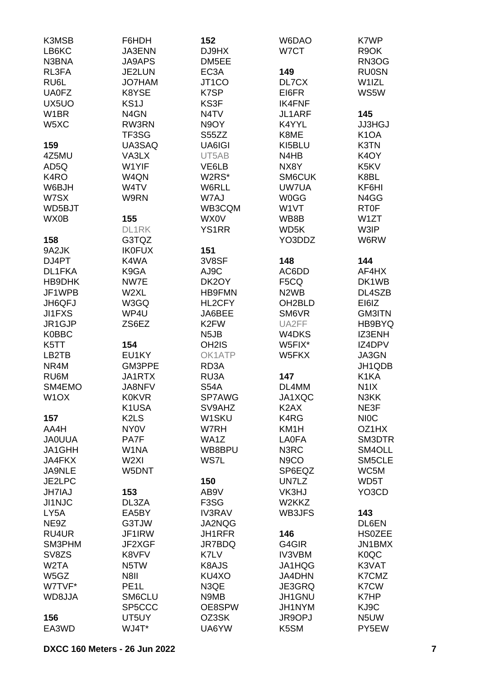| LB6KC<br>DJ9HX<br>W7CT<br>R9OK<br><b>JA3ENN</b><br>N3BNA<br><b>JA9APS</b><br>DM5EE<br>RN3OG<br>RL3FA<br>JE2LUN<br>EC <sub>3</sub> A<br>149<br><b>RU0SN</b><br>RU6L<br>JT1CO<br>DL7CX<br>W1IZL<br><b>JO7HAM</b><br>WS5W<br><b>UA0FZ</b><br>K8YSE<br>K7SP<br>EI6FR<br>UX5UO<br>KS <sub>1</sub> J<br>KS3F<br><b>IK4FNF</b><br>W1BR<br>N4GN<br>145<br>N4TV<br>JL1ARF<br>W <sub>5</sub> XC<br>RW3RN<br>N9OY<br>K4YYL<br><b>JJ3HGJ</b><br>K <sub>1</sub> OA<br>TF3SG<br>S55ZZ<br>K8ME<br>UA3SAQ<br>K3TN<br>159<br>UA6IGI<br>KI5BLU<br>VA3LX<br>4Z5MU<br>UT5AB<br>N4HB<br>K <sub>4</sub> OY<br>W1YIF<br>AD5Q<br>VE6LB<br>NX8Y<br>K5KV<br>W4QN<br>W2RS*<br>K8BL<br>K4RO<br>SM6CUK<br>W6BJH<br>W4TV<br>W6RLL<br>UW7UA<br>KF6HI<br>W7SX<br>W9RN<br>W7AJ<br><b>W0GG</b><br>N4GG<br>WB3CQM<br>W1VT<br><b>RT0F</b><br>WD5BJT<br>WX0B<br>155<br><b>WX0V</b><br>WB8B<br>W1ZT<br>DL1RK<br><b>YS1RR</b><br>WD5K<br>W3IP<br>G3TQZ<br>158<br>YO3DDZ<br>W6RW<br><b>IK0FUX</b><br>151<br>9A2JK<br>K4WA<br>DJ4PT<br>3V8SF<br>148<br>144<br>DL1FKA<br>K9GA<br>AJ9C<br>AC6DD<br>AF4HX<br>NW7E<br>HB9DHK<br>DK2OY<br>F <sub>5</sub> CQ<br>DK1WB<br>JF1WPB<br>W2XL<br><b>HB9FMN</b><br>N <sub>2</sub> W <sub>B</sub><br>DL4SZB<br>JH6QFJ<br>W3GQ<br>HL2CFY<br>OH <sub>2</sub> BLD<br>EI6IZ<br>JI1FXS<br>WP4U<br>JA6BEE<br>SM6VR<br><b>GM3ITN</b><br>JR1GJP<br>ZS6EZ<br>K <sub>2</sub> FW<br>UA2FF<br>HB9BYQ<br>IZ3ENH<br><b>K0BBC</b><br>N <sub>5</sub> JB<br>W4DKS<br>154<br>IZ4DPV<br>K5TT<br>OH <sub>2</sub> IS<br>W5FIX*<br>LB2TB<br>EU1KY<br>OK1ATP<br>W5FKX<br>JA3GN<br>NR4M<br>GM3PPE<br>RD3A<br>JH1QDB<br>K1KA<br>RU6M<br>JA1RTX<br>RU3A<br>147<br>SM4EMO<br>JA8NFV<br><b>S54A</b><br>DL4MM<br>N <sub>1</sub> IX<br>W <sub>1</sub> OX<br>SP7AWG<br>JA1XQC<br><b>K0KVR</b><br>N3KK<br>K1USA<br>SV9AHZ<br>K <sub>2</sub> A <sub>X</sub><br>NE3F<br>W1SKU<br>157<br>K <sub>2</sub> L <sub>S</sub><br>K4RG<br><b>NIOC</b><br>AA4H<br>NY <sub>0</sub> V<br>W7RH<br>KM1H<br>OZ1HX<br><b>JAOUUA</b><br>PA7F<br>WA1Z<br><b>LA0FA</b><br>SM3DTR<br>W1NA<br>WB8BPU<br>N3RC<br>SM4OLL<br>JA1GHH<br>W <sub>2XI</sub><br>WS7L<br>SM5CLE<br><b>JA4FKX</b><br>N <sub>9</sub> CO<br><b>JA9NLE</b><br>W5DNT<br>SP6EQZ<br>WC5M<br>WD5T<br>JE2LPC<br>UN7LZ<br>150<br>YO3CD<br><b>JH7IAJ</b><br>153<br>AB9V<br>VK3HJ<br>JI1NJC<br>DL3ZA<br>F3SG<br>W2KKZ<br>LY <sub>5</sub> A<br>EA5BY<br><b>IV3RAV</b><br>WB3JFS<br>143<br>NE9Z<br>G3TJW<br>JA2NQG<br>DL6EN<br>RU4UR<br>JF1IRW<br>JH1RFR<br>146<br><b>HSOZEE</b><br>SM3PHM<br>JF2XGF<br>JR7BDQ<br>G4GIR<br>JN1BMX<br>SV8ZS<br>K8VFV<br>K7LV<br><b>IV3VBM</b><br>K <sub>0</sub> QC<br>W <sub>2</sub> TA<br>K8AJS<br>JA1HQG<br>K3VAT<br>N5TW<br>K7CMZ<br>W5GZ<br>N8II<br>KU4XO<br><b>JA4DHN</b><br>W7TVF*<br>PE <sub>1</sub> L<br>N3QE<br>JE3GRQ<br>K7CW<br>WD8JJA<br>SM6CLU<br>N9MB<br>JH1GNU<br>K7HP<br>SP5CCC<br>KJ9C<br>OE8SPW<br>JH1NYM<br>156<br>UT5UY<br>OZ3SK<br>JR9OPJ<br>N5UW<br>WJ4T*<br>K5SM<br>PY5EW<br>EA3WD<br>UA6YW | K3MSB | F6HDH | 152 | W6DAO | K7WP |
|----------------------------------------------------------------------------------------------------------------------------------------------------------------------------------------------------------------------------------------------------------------------------------------------------------------------------------------------------------------------------------------------------------------------------------------------------------------------------------------------------------------------------------------------------------------------------------------------------------------------------------------------------------------------------------------------------------------------------------------------------------------------------------------------------------------------------------------------------------------------------------------------------------------------------------------------------------------------------------------------------------------------------------------------------------------------------------------------------------------------------------------------------------------------------------------------------------------------------------------------------------------------------------------------------------------------------------------------------------------------------------------------------------------------------------------------------------------------------------------------------------------------------------------------------------------------------------------------------------------------------------------------------------------------------------------------------------------------------------------------------------------------------------------------------------------------------------------------------------------------------------------------------------------------------------------------------------------------------------------------------------------------------------------------------------------------------------------------------------------------------------------------------------------------------------------------------------------------------------------------------------------------------------------------------------------------------------------------------------------------------------------------------------------------------------------------------------------------------------------------------------------------------------------------------------------------------------------------------------------------------------------------------------------------------------------------------------------------------------------------------------------------------------------------------------------------------------------------------------------------------------------------------------------------------------------------|-------|-------|-----|-------|------|
|                                                                                                                                                                                                                                                                                                                                                                                                                                                                                                                                                                                                                                                                                                                                                                                                                                                                                                                                                                                                                                                                                                                                                                                                                                                                                                                                                                                                                                                                                                                                                                                                                                                                                                                                                                                                                                                                                                                                                                                                                                                                                                                                                                                                                                                                                                                                                                                                                                                                                                                                                                                                                                                                                                                                                                                                                                                                                                                                              |       |       |     |       |      |
|                                                                                                                                                                                                                                                                                                                                                                                                                                                                                                                                                                                                                                                                                                                                                                                                                                                                                                                                                                                                                                                                                                                                                                                                                                                                                                                                                                                                                                                                                                                                                                                                                                                                                                                                                                                                                                                                                                                                                                                                                                                                                                                                                                                                                                                                                                                                                                                                                                                                                                                                                                                                                                                                                                                                                                                                                                                                                                                                              |       |       |     |       |      |
|                                                                                                                                                                                                                                                                                                                                                                                                                                                                                                                                                                                                                                                                                                                                                                                                                                                                                                                                                                                                                                                                                                                                                                                                                                                                                                                                                                                                                                                                                                                                                                                                                                                                                                                                                                                                                                                                                                                                                                                                                                                                                                                                                                                                                                                                                                                                                                                                                                                                                                                                                                                                                                                                                                                                                                                                                                                                                                                                              |       |       |     |       |      |
|                                                                                                                                                                                                                                                                                                                                                                                                                                                                                                                                                                                                                                                                                                                                                                                                                                                                                                                                                                                                                                                                                                                                                                                                                                                                                                                                                                                                                                                                                                                                                                                                                                                                                                                                                                                                                                                                                                                                                                                                                                                                                                                                                                                                                                                                                                                                                                                                                                                                                                                                                                                                                                                                                                                                                                                                                                                                                                                                              |       |       |     |       |      |
|                                                                                                                                                                                                                                                                                                                                                                                                                                                                                                                                                                                                                                                                                                                                                                                                                                                                                                                                                                                                                                                                                                                                                                                                                                                                                                                                                                                                                                                                                                                                                                                                                                                                                                                                                                                                                                                                                                                                                                                                                                                                                                                                                                                                                                                                                                                                                                                                                                                                                                                                                                                                                                                                                                                                                                                                                                                                                                                                              |       |       |     |       |      |
|                                                                                                                                                                                                                                                                                                                                                                                                                                                                                                                                                                                                                                                                                                                                                                                                                                                                                                                                                                                                                                                                                                                                                                                                                                                                                                                                                                                                                                                                                                                                                                                                                                                                                                                                                                                                                                                                                                                                                                                                                                                                                                                                                                                                                                                                                                                                                                                                                                                                                                                                                                                                                                                                                                                                                                                                                                                                                                                                              |       |       |     |       |      |
|                                                                                                                                                                                                                                                                                                                                                                                                                                                                                                                                                                                                                                                                                                                                                                                                                                                                                                                                                                                                                                                                                                                                                                                                                                                                                                                                                                                                                                                                                                                                                                                                                                                                                                                                                                                                                                                                                                                                                                                                                                                                                                                                                                                                                                                                                                                                                                                                                                                                                                                                                                                                                                                                                                                                                                                                                                                                                                                                              |       |       |     |       |      |
|                                                                                                                                                                                                                                                                                                                                                                                                                                                                                                                                                                                                                                                                                                                                                                                                                                                                                                                                                                                                                                                                                                                                                                                                                                                                                                                                                                                                                                                                                                                                                                                                                                                                                                                                                                                                                                                                                                                                                                                                                                                                                                                                                                                                                                                                                                                                                                                                                                                                                                                                                                                                                                                                                                                                                                                                                                                                                                                                              |       |       |     |       |      |
|                                                                                                                                                                                                                                                                                                                                                                                                                                                                                                                                                                                                                                                                                                                                                                                                                                                                                                                                                                                                                                                                                                                                                                                                                                                                                                                                                                                                                                                                                                                                                                                                                                                                                                                                                                                                                                                                                                                                                                                                                                                                                                                                                                                                                                                                                                                                                                                                                                                                                                                                                                                                                                                                                                                                                                                                                                                                                                                                              |       |       |     |       |      |
|                                                                                                                                                                                                                                                                                                                                                                                                                                                                                                                                                                                                                                                                                                                                                                                                                                                                                                                                                                                                                                                                                                                                                                                                                                                                                                                                                                                                                                                                                                                                                                                                                                                                                                                                                                                                                                                                                                                                                                                                                                                                                                                                                                                                                                                                                                                                                                                                                                                                                                                                                                                                                                                                                                                                                                                                                                                                                                                                              |       |       |     |       |      |
|                                                                                                                                                                                                                                                                                                                                                                                                                                                                                                                                                                                                                                                                                                                                                                                                                                                                                                                                                                                                                                                                                                                                                                                                                                                                                                                                                                                                                                                                                                                                                                                                                                                                                                                                                                                                                                                                                                                                                                                                                                                                                                                                                                                                                                                                                                                                                                                                                                                                                                                                                                                                                                                                                                                                                                                                                                                                                                                                              |       |       |     |       |      |
|                                                                                                                                                                                                                                                                                                                                                                                                                                                                                                                                                                                                                                                                                                                                                                                                                                                                                                                                                                                                                                                                                                                                                                                                                                                                                                                                                                                                                                                                                                                                                                                                                                                                                                                                                                                                                                                                                                                                                                                                                                                                                                                                                                                                                                                                                                                                                                                                                                                                                                                                                                                                                                                                                                                                                                                                                                                                                                                                              |       |       |     |       |      |
|                                                                                                                                                                                                                                                                                                                                                                                                                                                                                                                                                                                                                                                                                                                                                                                                                                                                                                                                                                                                                                                                                                                                                                                                                                                                                                                                                                                                                                                                                                                                                                                                                                                                                                                                                                                                                                                                                                                                                                                                                                                                                                                                                                                                                                                                                                                                                                                                                                                                                                                                                                                                                                                                                                                                                                                                                                                                                                                                              |       |       |     |       |      |
|                                                                                                                                                                                                                                                                                                                                                                                                                                                                                                                                                                                                                                                                                                                                                                                                                                                                                                                                                                                                                                                                                                                                                                                                                                                                                                                                                                                                                                                                                                                                                                                                                                                                                                                                                                                                                                                                                                                                                                                                                                                                                                                                                                                                                                                                                                                                                                                                                                                                                                                                                                                                                                                                                                                                                                                                                                                                                                                                              |       |       |     |       |      |
|                                                                                                                                                                                                                                                                                                                                                                                                                                                                                                                                                                                                                                                                                                                                                                                                                                                                                                                                                                                                                                                                                                                                                                                                                                                                                                                                                                                                                                                                                                                                                                                                                                                                                                                                                                                                                                                                                                                                                                                                                                                                                                                                                                                                                                                                                                                                                                                                                                                                                                                                                                                                                                                                                                                                                                                                                                                                                                                                              |       |       |     |       |      |
|                                                                                                                                                                                                                                                                                                                                                                                                                                                                                                                                                                                                                                                                                                                                                                                                                                                                                                                                                                                                                                                                                                                                                                                                                                                                                                                                                                                                                                                                                                                                                                                                                                                                                                                                                                                                                                                                                                                                                                                                                                                                                                                                                                                                                                                                                                                                                                                                                                                                                                                                                                                                                                                                                                                                                                                                                                                                                                                                              |       |       |     |       |      |
|                                                                                                                                                                                                                                                                                                                                                                                                                                                                                                                                                                                                                                                                                                                                                                                                                                                                                                                                                                                                                                                                                                                                                                                                                                                                                                                                                                                                                                                                                                                                                                                                                                                                                                                                                                                                                                                                                                                                                                                                                                                                                                                                                                                                                                                                                                                                                                                                                                                                                                                                                                                                                                                                                                                                                                                                                                                                                                                                              |       |       |     |       |      |
|                                                                                                                                                                                                                                                                                                                                                                                                                                                                                                                                                                                                                                                                                                                                                                                                                                                                                                                                                                                                                                                                                                                                                                                                                                                                                                                                                                                                                                                                                                                                                                                                                                                                                                                                                                                                                                                                                                                                                                                                                                                                                                                                                                                                                                                                                                                                                                                                                                                                                                                                                                                                                                                                                                                                                                                                                                                                                                                                              |       |       |     |       |      |
|                                                                                                                                                                                                                                                                                                                                                                                                                                                                                                                                                                                                                                                                                                                                                                                                                                                                                                                                                                                                                                                                                                                                                                                                                                                                                                                                                                                                                                                                                                                                                                                                                                                                                                                                                                                                                                                                                                                                                                                                                                                                                                                                                                                                                                                                                                                                                                                                                                                                                                                                                                                                                                                                                                                                                                                                                                                                                                                                              |       |       |     |       |      |
|                                                                                                                                                                                                                                                                                                                                                                                                                                                                                                                                                                                                                                                                                                                                                                                                                                                                                                                                                                                                                                                                                                                                                                                                                                                                                                                                                                                                                                                                                                                                                                                                                                                                                                                                                                                                                                                                                                                                                                                                                                                                                                                                                                                                                                                                                                                                                                                                                                                                                                                                                                                                                                                                                                                                                                                                                                                                                                                                              |       |       |     |       |      |
|                                                                                                                                                                                                                                                                                                                                                                                                                                                                                                                                                                                                                                                                                                                                                                                                                                                                                                                                                                                                                                                                                                                                                                                                                                                                                                                                                                                                                                                                                                                                                                                                                                                                                                                                                                                                                                                                                                                                                                                                                                                                                                                                                                                                                                                                                                                                                                                                                                                                                                                                                                                                                                                                                                                                                                                                                                                                                                                                              |       |       |     |       |      |
|                                                                                                                                                                                                                                                                                                                                                                                                                                                                                                                                                                                                                                                                                                                                                                                                                                                                                                                                                                                                                                                                                                                                                                                                                                                                                                                                                                                                                                                                                                                                                                                                                                                                                                                                                                                                                                                                                                                                                                                                                                                                                                                                                                                                                                                                                                                                                                                                                                                                                                                                                                                                                                                                                                                                                                                                                                                                                                                                              |       |       |     |       |      |
|                                                                                                                                                                                                                                                                                                                                                                                                                                                                                                                                                                                                                                                                                                                                                                                                                                                                                                                                                                                                                                                                                                                                                                                                                                                                                                                                                                                                                                                                                                                                                                                                                                                                                                                                                                                                                                                                                                                                                                                                                                                                                                                                                                                                                                                                                                                                                                                                                                                                                                                                                                                                                                                                                                                                                                                                                                                                                                                                              |       |       |     |       |      |
|                                                                                                                                                                                                                                                                                                                                                                                                                                                                                                                                                                                                                                                                                                                                                                                                                                                                                                                                                                                                                                                                                                                                                                                                                                                                                                                                                                                                                                                                                                                                                                                                                                                                                                                                                                                                                                                                                                                                                                                                                                                                                                                                                                                                                                                                                                                                                                                                                                                                                                                                                                                                                                                                                                                                                                                                                                                                                                                                              |       |       |     |       |      |
|                                                                                                                                                                                                                                                                                                                                                                                                                                                                                                                                                                                                                                                                                                                                                                                                                                                                                                                                                                                                                                                                                                                                                                                                                                                                                                                                                                                                                                                                                                                                                                                                                                                                                                                                                                                                                                                                                                                                                                                                                                                                                                                                                                                                                                                                                                                                                                                                                                                                                                                                                                                                                                                                                                                                                                                                                                                                                                                                              |       |       |     |       |      |
|                                                                                                                                                                                                                                                                                                                                                                                                                                                                                                                                                                                                                                                                                                                                                                                                                                                                                                                                                                                                                                                                                                                                                                                                                                                                                                                                                                                                                                                                                                                                                                                                                                                                                                                                                                                                                                                                                                                                                                                                                                                                                                                                                                                                                                                                                                                                                                                                                                                                                                                                                                                                                                                                                                                                                                                                                                                                                                                                              |       |       |     |       |      |
|                                                                                                                                                                                                                                                                                                                                                                                                                                                                                                                                                                                                                                                                                                                                                                                                                                                                                                                                                                                                                                                                                                                                                                                                                                                                                                                                                                                                                                                                                                                                                                                                                                                                                                                                                                                                                                                                                                                                                                                                                                                                                                                                                                                                                                                                                                                                                                                                                                                                                                                                                                                                                                                                                                                                                                                                                                                                                                                                              |       |       |     |       |      |
|                                                                                                                                                                                                                                                                                                                                                                                                                                                                                                                                                                                                                                                                                                                                                                                                                                                                                                                                                                                                                                                                                                                                                                                                                                                                                                                                                                                                                                                                                                                                                                                                                                                                                                                                                                                                                                                                                                                                                                                                                                                                                                                                                                                                                                                                                                                                                                                                                                                                                                                                                                                                                                                                                                                                                                                                                                                                                                                                              |       |       |     |       |      |
|                                                                                                                                                                                                                                                                                                                                                                                                                                                                                                                                                                                                                                                                                                                                                                                                                                                                                                                                                                                                                                                                                                                                                                                                                                                                                                                                                                                                                                                                                                                                                                                                                                                                                                                                                                                                                                                                                                                                                                                                                                                                                                                                                                                                                                                                                                                                                                                                                                                                                                                                                                                                                                                                                                                                                                                                                                                                                                                                              |       |       |     |       |      |
|                                                                                                                                                                                                                                                                                                                                                                                                                                                                                                                                                                                                                                                                                                                                                                                                                                                                                                                                                                                                                                                                                                                                                                                                                                                                                                                                                                                                                                                                                                                                                                                                                                                                                                                                                                                                                                                                                                                                                                                                                                                                                                                                                                                                                                                                                                                                                                                                                                                                                                                                                                                                                                                                                                                                                                                                                                                                                                                                              |       |       |     |       |      |
|                                                                                                                                                                                                                                                                                                                                                                                                                                                                                                                                                                                                                                                                                                                                                                                                                                                                                                                                                                                                                                                                                                                                                                                                                                                                                                                                                                                                                                                                                                                                                                                                                                                                                                                                                                                                                                                                                                                                                                                                                                                                                                                                                                                                                                                                                                                                                                                                                                                                                                                                                                                                                                                                                                                                                                                                                                                                                                                                              |       |       |     |       |      |
|                                                                                                                                                                                                                                                                                                                                                                                                                                                                                                                                                                                                                                                                                                                                                                                                                                                                                                                                                                                                                                                                                                                                                                                                                                                                                                                                                                                                                                                                                                                                                                                                                                                                                                                                                                                                                                                                                                                                                                                                                                                                                                                                                                                                                                                                                                                                                                                                                                                                                                                                                                                                                                                                                                                                                                                                                                                                                                                                              |       |       |     |       |      |
|                                                                                                                                                                                                                                                                                                                                                                                                                                                                                                                                                                                                                                                                                                                                                                                                                                                                                                                                                                                                                                                                                                                                                                                                                                                                                                                                                                                                                                                                                                                                                                                                                                                                                                                                                                                                                                                                                                                                                                                                                                                                                                                                                                                                                                                                                                                                                                                                                                                                                                                                                                                                                                                                                                                                                                                                                                                                                                                                              |       |       |     |       |      |
|                                                                                                                                                                                                                                                                                                                                                                                                                                                                                                                                                                                                                                                                                                                                                                                                                                                                                                                                                                                                                                                                                                                                                                                                                                                                                                                                                                                                                                                                                                                                                                                                                                                                                                                                                                                                                                                                                                                                                                                                                                                                                                                                                                                                                                                                                                                                                                                                                                                                                                                                                                                                                                                                                                                                                                                                                                                                                                                                              |       |       |     |       |      |
|                                                                                                                                                                                                                                                                                                                                                                                                                                                                                                                                                                                                                                                                                                                                                                                                                                                                                                                                                                                                                                                                                                                                                                                                                                                                                                                                                                                                                                                                                                                                                                                                                                                                                                                                                                                                                                                                                                                                                                                                                                                                                                                                                                                                                                                                                                                                                                                                                                                                                                                                                                                                                                                                                                                                                                                                                                                                                                                                              |       |       |     |       |      |
|                                                                                                                                                                                                                                                                                                                                                                                                                                                                                                                                                                                                                                                                                                                                                                                                                                                                                                                                                                                                                                                                                                                                                                                                                                                                                                                                                                                                                                                                                                                                                                                                                                                                                                                                                                                                                                                                                                                                                                                                                                                                                                                                                                                                                                                                                                                                                                                                                                                                                                                                                                                                                                                                                                                                                                                                                                                                                                                                              |       |       |     |       |      |
|                                                                                                                                                                                                                                                                                                                                                                                                                                                                                                                                                                                                                                                                                                                                                                                                                                                                                                                                                                                                                                                                                                                                                                                                                                                                                                                                                                                                                                                                                                                                                                                                                                                                                                                                                                                                                                                                                                                                                                                                                                                                                                                                                                                                                                                                                                                                                                                                                                                                                                                                                                                                                                                                                                                                                                                                                                                                                                                                              |       |       |     |       |      |
|                                                                                                                                                                                                                                                                                                                                                                                                                                                                                                                                                                                                                                                                                                                                                                                                                                                                                                                                                                                                                                                                                                                                                                                                                                                                                                                                                                                                                                                                                                                                                                                                                                                                                                                                                                                                                                                                                                                                                                                                                                                                                                                                                                                                                                                                                                                                                                                                                                                                                                                                                                                                                                                                                                                                                                                                                                                                                                                                              |       |       |     |       |      |
|                                                                                                                                                                                                                                                                                                                                                                                                                                                                                                                                                                                                                                                                                                                                                                                                                                                                                                                                                                                                                                                                                                                                                                                                                                                                                                                                                                                                                                                                                                                                                                                                                                                                                                                                                                                                                                                                                                                                                                                                                                                                                                                                                                                                                                                                                                                                                                                                                                                                                                                                                                                                                                                                                                                                                                                                                                                                                                                                              |       |       |     |       |      |
|                                                                                                                                                                                                                                                                                                                                                                                                                                                                                                                                                                                                                                                                                                                                                                                                                                                                                                                                                                                                                                                                                                                                                                                                                                                                                                                                                                                                                                                                                                                                                                                                                                                                                                                                                                                                                                                                                                                                                                                                                                                                                                                                                                                                                                                                                                                                                                                                                                                                                                                                                                                                                                                                                                                                                                                                                                                                                                                                              |       |       |     |       |      |
|                                                                                                                                                                                                                                                                                                                                                                                                                                                                                                                                                                                                                                                                                                                                                                                                                                                                                                                                                                                                                                                                                                                                                                                                                                                                                                                                                                                                                                                                                                                                                                                                                                                                                                                                                                                                                                                                                                                                                                                                                                                                                                                                                                                                                                                                                                                                                                                                                                                                                                                                                                                                                                                                                                                                                                                                                                                                                                                                              |       |       |     |       |      |
|                                                                                                                                                                                                                                                                                                                                                                                                                                                                                                                                                                                                                                                                                                                                                                                                                                                                                                                                                                                                                                                                                                                                                                                                                                                                                                                                                                                                                                                                                                                                                                                                                                                                                                                                                                                                                                                                                                                                                                                                                                                                                                                                                                                                                                                                                                                                                                                                                                                                                                                                                                                                                                                                                                                                                                                                                                                                                                                                              |       |       |     |       |      |
|                                                                                                                                                                                                                                                                                                                                                                                                                                                                                                                                                                                                                                                                                                                                                                                                                                                                                                                                                                                                                                                                                                                                                                                                                                                                                                                                                                                                                                                                                                                                                                                                                                                                                                                                                                                                                                                                                                                                                                                                                                                                                                                                                                                                                                                                                                                                                                                                                                                                                                                                                                                                                                                                                                                                                                                                                                                                                                                                              |       |       |     |       |      |
|                                                                                                                                                                                                                                                                                                                                                                                                                                                                                                                                                                                                                                                                                                                                                                                                                                                                                                                                                                                                                                                                                                                                                                                                                                                                                                                                                                                                                                                                                                                                                                                                                                                                                                                                                                                                                                                                                                                                                                                                                                                                                                                                                                                                                                                                                                                                                                                                                                                                                                                                                                                                                                                                                                                                                                                                                                                                                                                                              |       |       |     |       |      |
|                                                                                                                                                                                                                                                                                                                                                                                                                                                                                                                                                                                                                                                                                                                                                                                                                                                                                                                                                                                                                                                                                                                                                                                                                                                                                                                                                                                                                                                                                                                                                                                                                                                                                                                                                                                                                                                                                                                                                                                                                                                                                                                                                                                                                                                                                                                                                                                                                                                                                                                                                                                                                                                                                                                                                                                                                                                                                                                                              |       |       |     |       |      |
|                                                                                                                                                                                                                                                                                                                                                                                                                                                                                                                                                                                                                                                                                                                                                                                                                                                                                                                                                                                                                                                                                                                                                                                                                                                                                                                                                                                                                                                                                                                                                                                                                                                                                                                                                                                                                                                                                                                                                                                                                                                                                                                                                                                                                                                                                                                                                                                                                                                                                                                                                                                                                                                                                                                                                                                                                                                                                                                                              |       |       |     |       |      |
|                                                                                                                                                                                                                                                                                                                                                                                                                                                                                                                                                                                                                                                                                                                                                                                                                                                                                                                                                                                                                                                                                                                                                                                                                                                                                                                                                                                                                                                                                                                                                                                                                                                                                                                                                                                                                                                                                                                                                                                                                                                                                                                                                                                                                                                                                                                                                                                                                                                                                                                                                                                                                                                                                                                                                                                                                                                                                                                                              |       |       |     |       |      |
|                                                                                                                                                                                                                                                                                                                                                                                                                                                                                                                                                                                                                                                                                                                                                                                                                                                                                                                                                                                                                                                                                                                                                                                                                                                                                                                                                                                                                                                                                                                                                                                                                                                                                                                                                                                                                                                                                                                                                                                                                                                                                                                                                                                                                                                                                                                                                                                                                                                                                                                                                                                                                                                                                                                                                                                                                                                                                                                                              |       |       |     |       |      |
|                                                                                                                                                                                                                                                                                                                                                                                                                                                                                                                                                                                                                                                                                                                                                                                                                                                                                                                                                                                                                                                                                                                                                                                                                                                                                                                                                                                                                                                                                                                                                                                                                                                                                                                                                                                                                                                                                                                                                                                                                                                                                                                                                                                                                                                                                                                                                                                                                                                                                                                                                                                                                                                                                                                                                                                                                                                                                                                                              |       |       |     |       |      |
|                                                                                                                                                                                                                                                                                                                                                                                                                                                                                                                                                                                                                                                                                                                                                                                                                                                                                                                                                                                                                                                                                                                                                                                                                                                                                                                                                                                                                                                                                                                                                                                                                                                                                                                                                                                                                                                                                                                                                                                                                                                                                                                                                                                                                                                                                                                                                                                                                                                                                                                                                                                                                                                                                                                                                                                                                                                                                                                                              |       |       |     |       |      |
|                                                                                                                                                                                                                                                                                                                                                                                                                                                                                                                                                                                                                                                                                                                                                                                                                                                                                                                                                                                                                                                                                                                                                                                                                                                                                                                                                                                                                                                                                                                                                                                                                                                                                                                                                                                                                                                                                                                                                                                                                                                                                                                                                                                                                                                                                                                                                                                                                                                                                                                                                                                                                                                                                                                                                                                                                                                                                                                                              |       |       |     |       |      |
|                                                                                                                                                                                                                                                                                                                                                                                                                                                                                                                                                                                                                                                                                                                                                                                                                                                                                                                                                                                                                                                                                                                                                                                                                                                                                                                                                                                                                                                                                                                                                                                                                                                                                                                                                                                                                                                                                                                                                                                                                                                                                                                                                                                                                                                                                                                                                                                                                                                                                                                                                                                                                                                                                                                                                                                                                                                                                                                                              |       |       |     |       |      |
|                                                                                                                                                                                                                                                                                                                                                                                                                                                                                                                                                                                                                                                                                                                                                                                                                                                                                                                                                                                                                                                                                                                                                                                                                                                                                                                                                                                                                                                                                                                                                                                                                                                                                                                                                                                                                                                                                                                                                                                                                                                                                                                                                                                                                                                                                                                                                                                                                                                                                                                                                                                                                                                                                                                                                                                                                                                                                                                                              |       |       |     |       |      |
|                                                                                                                                                                                                                                                                                                                                                                                                                                                                                                                                                                                                                                                                                                                                                                                                                                                                                                                                                                                                                                                                                                                                                                                                                                                                                                                                                                                                                                                                                                                                                                                                                                                                                                                                                                                                                                                                                                                                                                                                                                                                                                                                                                                                                                                                                                                                                                                                                                                                                                                                                                                                                                                                                                                                                                                                                                                                                                                                              |       |       |     |       |      |
|                                                                                                                                                                                                                                                                                                                                                                                                                                                                                                                                                                                                                                                                                                                                                                                                                                                                                                                                                                                                                                                                                                                                                                                                                                                                                                                                                                                                                                                                                                                                                                                                                                                                                                                                                                                                                                                                                                                                                                                                                                                                                                                                                                                                                                                                                                                                                                                                                                                                                                                                                                                                                                                                                                                                                                                                                                                                                                                                              |       |       |     |       |      |
|                                                                                                                                                                                                                                                                                                                                                                                                                                                                                                                                                                                                                                                                                                                                                                                                                                                                                                                                                                                                                                                                                                                                                                                                                                                                                                                                                                                                                                                                                                                                                                                                                                                                                                                                                                                                                                                                                                                                                                                                                                                                                                                                                                                                                                                                                                                                                                                                                                                                                                                                                                                                                                                                                                                                                                                                                                                                                                                                              |       |       |     |       |      |
|                                                                                                                                                                                                                                                                                                                                                                                                                                                                                                                                                                                                                                                                                                                                                                                                                                                                                                                                                                                                                                                                                                                                                                                                                                                                                                                                                                                                                                                                                                                                                                                                                                                                                                                                                                                                                                                                                                                                                                                                                                                                                                                                                                                                                                                                                                                                                                                                                                                                                                                                                                                                                                                                                                                                                                                                                                                                                                                                              |       |       |     |       |      |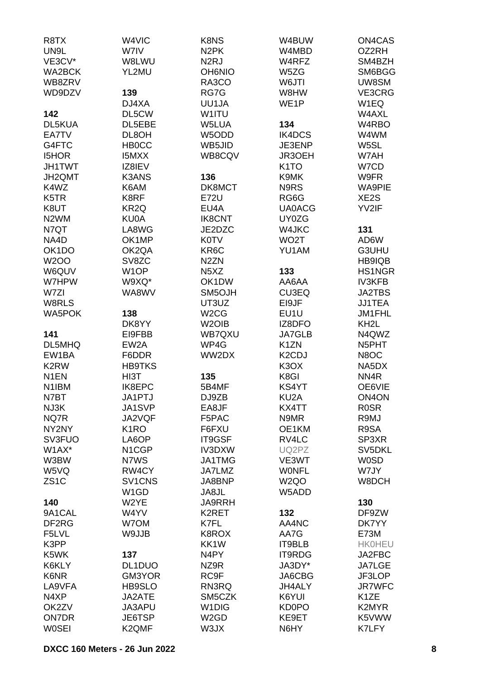| R8TX               | W4VIC                           | K8NS                          | W4BUW             | ON4CAS              |
|--------------------|---------------------------------|-------------------------------|-------------------|---------------------|
| UN9L               | W7IV                            | N <sub>2</sub> PK             | W4MBD             | OZ2RH               |
| VE3CV*             | W8LWU                           | N <sub>2</sub> RJ             | W4RFZ             | SM4BZH              |
| WA2BCK             | YL2MU                           | <b>OH6NIO</b>                 | W5ZG              | SM6BGG              |
| WB8ZRV             |                                 | RA3CO                         | W6JTI             | UW8SM               |
| WD9DZV             | 139                             | RG7G                          | W8HW              | VE3CRG              |
|                    | DJ4XA                           | UU1JA                         | WE <sub>1</sub> P | W1EQ                |
| 142                | DL5CW                           | W1ITU                         |                   | W4AXL               |
| DL5KUA             | DL5EBE                          | W5LUA                         | 134               | W4RBO               |
| EA7TV              | DL8OH                           | W5ODD                         | IK4DCS            | W4WM                |
|                    |                                 |                               |                   |                     |
| G4FTC              | <b>HBOCC</b>                    | WB5JID                        | JE3ENP            | W5SL                |
| <b>I5HOR</b>       | <b>I5MXX</b>                    | WB8CQV                        | JR3OEH            | W7AH                |
| <b>JH1TWT</b>      | IZ8IEV                          |                               | K <sub>1</sub> TO | W7CD                |
| JH2QMT             | <b>K3ANS</b>                    | 136                           | K9MK              | W9FR                |
| K4WZ               | K6AM                            | DK8MCT                        | N9RS              | WA9PIE              |
| K5TR               | K8RF                            | E72U                          | RG6G              | XE <sub>2</sub> S   |
| K8UT               | KR <sub>2Q</sub>                | EU4A                          | <b>UA0ACG</b>     | YV2IF               |
| N <sub>2</sub> WM  | KU0A                            | <b>IK8CNT</b>                 | UY0ZG             |                     |
| N7QT               | LA8WG                           | JE2DZC                        | W4JKC             | 131                 |
| NA4D               | OK1MP                           | <b>K0TV</b>                   | WO <sub>2</sub> T | AD6W                |
| OK <sub>1</sub> DO | OK2QA                           | KR <sub>6</sub> C             | YU1AM             | G3UHU               |
| <b>W2OO</b>        | SV8ZC                           | N <sub>2</sub> ZN             |                   | HB9IQB              |
| W6QUV              | W <sub>1</sub> OP               | N <sub>5</sub> X <sub>Z</sub> | 133               | <b>HS1NGR</b>       |
| W7HPW              | W9XQ*                           | OK1DW                         | AA6AA             | <b>IV3KFB</b>       |
| W7ZI               | WA8WV                           | SM5OJH                        | CU3EQ             | <b>JA2TBS</b>       |
| W8RLS              |                                 | UT3UZ                         | EI9JF             | <b>JJ1TEA</b>       |
| WA5POK             | 138                             | W <sub>2</sub> CG             | EU1U              | JM1FHL              |
|                    | DK8YY                           | W <sub>2</sub> OIB            | IZ8DFO            | KH <sub>2</sub> L   |
| 141                | EI9FBB                          | WB7QXU                        | <b>JA7GLB</b>     | N4QWZ               |
| DL5MHQ             | EW <sub>2</sub> A               | WP4G                          | K <sub>1</sub> ZN | N5PHT               |
| EW1BA              | F6DDR                           | WW2DX                         | K2CDJ             | N8OC                |
| K <sub>2</sub> RW  | <b>HB9TKS</b>                   |                               | K3OX              | NA5DX               |
| N <sub>1</sub> EN  | HI3T                            | 135                           | K8GI              | NN <sub>4</sub> R   |
| N <sub>1</sub> IBM | IK8EPC                          | 5B4MF                         | KS4YT             | OE6VIE              |
| N7BT               | JA1PTJ                          | DJ9ZB                         | KU <sub>2</sub> A | ON <sub>4</sub> ON  |
|                    |                                 |                               |                   |                     |
| NJ3K               | JA1SVP                          | EA8JF                         | KX4TT             | <b>ROSR</b><br>R9MJ |
| NQ7R               | JA2VQF                          | F5PAC                         | N9MR              |                     |
| NY2NY              | K <sub>1</sub> RO               | F6FXU                         | OE1KM             | R9SA                |
| SV3FUO             | LA6OP                           | IT9GSF                        | RV4LC             | SP3XR               |
| W1AX*              | N1CGP                           | IV3DXW                        | UQ2PZ             | SV5DKL              |
| W3BW               | N7WS                            | JA1TMG                        | VE3WT             | <b>W0SD</b>         |
| W5VQ               | RW4CY                           | JA7LMZ                        | <b>WONFL</b>      | W7JY                |
| ZS <sub>1</sub> C  | SV <sub>1</sub> CN <sub>S</sub> | JA8BNP                        | W <sub>2Q</sub> O | W8DCH               |
|                    | W <sub>1</sub> GD               | JA8JL                         | W5ADD             |                     |
| 140                | W2YE                            | <b>JA9RRH</b>                 |                   | 130                 |
| 9A1CAL             | W4YV                            | K2RET                         | 132               | DF9ZW               |
| DF <sub>2</sub> RG | W7OM                            | K7FL                          | AA4NC             | DK7YY               |
| F5LVL              | W9JJB                           | K8ROX                         | AA7G              | E73M                |
| K3PP               |                                 | KK1W                          | IT9BLB            | <b>HK0HEU</b>       |
| K5WK               | 137                             | N4PY                          | IT9RDG            | JA2FBC              |
| K6KLY              | DL1DUO                          | NZ9R                          | JA3DY*            | <b>JA7LGE</b>       |
| K6NR               | GM3YOR                          | RC9F                          | JA6CBG            | JF3LOP              |
| LA9VFA             | HB9SLO                          | RN3RQ                         | <b>JH4ALY</b>     | <b>JR7WFC</b>       |
| N4XP               | JA2ATE                          | SM5CZK                        | K6YUI             | K <sub>1</sub> ZE   |
| OK2ZV              | JA3APU                          | W <sub>1</sub> DIG            | <b>KD0PO</b>      | K2MYR               |
| ON7DR              | JE6TSP                          | W <sub>2</sub> GD             | KE9ET             | K5VWW               |
| <b>WOSEI</b>       | K2QMF                           | W3JX                          | N6HY              | K7LFY               |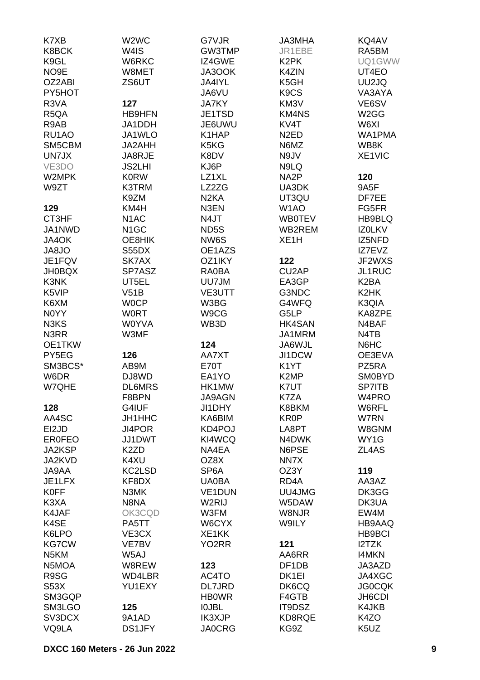| K7XB              | W2WC              | G7VJR              | <b>JA3MHA</b>                 | KQ4AV             |
|-------------------|-------------------|--------------------|-------------------------------|-------------------|
| K8BCK             | W4IS              | GW3TMP             | JR1EBE                        | RA5BM             |
| K9GL              | W6RKC             | IZ4GWE             | K <sub>2</sub> PK             | UQ1GWW            |
| NO9E              | W8MET             | JA3OOK             | K4ZIN                         | UT4EO             |
| OZ2ABI            | ZS6UT             | JA4IYL             | K5GH                          | UU2JQ             |
| PY5HOT            |                   | JA6VU              | K <sub>9</sub> C <sub>S</sub> | VA3AYA            |
|                   |                   |                    |                               |                   |
| R3VA              | 127               | <b>JA7KY</b>       | KM3V                          | VE6SV             |
| R <sub>5</sub> QA | <b>HB9HFN</b>     | JE1TSD             | <b>KM4NS</b>                  | W <sub>2</sub> GG |
| R9AB              | JA1DDH            | JE6UWU             | KV <sub>4</sub> T             | W6XI              |
| RU1AO             | JA1WLO            | K1HAP              | N <sub>2</sub> ED             | WA1PMA            |
| SM5CBM            | JA2AHH            | K5KG               | N6MZ                          | WB8K              |
| UN7JX             | JA8RJE            | K8DV               | N9JV                          | XE1VIC            |
| VE3DO             | <b>JS2LHI</b>     | KJ6P               | N9LQ                          |                   |
| W2MPK             | <b>K0RW</b>       | LZ1XL              | NA <sub>2</sub> P             | 120               |
| W9ZT              | K3TRM             | LZ2ZG              | UA3DK                         | 9A5F              |
|                   | K9ZM              | N <sub>2</sub> KA  | UT3QU                         | DF7EE             |
| 129               | KM4H              | N3EN               | W <sub>1</sub> AO             | FG5FR             |
| CT3HF             | N <sub>1</sub> AC | N4JT               | <b>WB0TEV</b>                 | HB9BLQ            |
| JA1NWD            | N <sub>1</sub> GC | ND <sub>5</sub> S  | WB2REM                        | <b>IZOLKV</b>     |
|                   |                   |                    |                               |                   |
| JA4OK             | OE8HIK            | NW6S               | XE <sub>1</sub> H             | IZ5NFD            |
| JA8JO             | S55DX             | OE1AZS             |                               | IZ7EVZ            |
| JE1FQV            | SK7AX             | OZ1IKY             | 122                           | JF2WXS            |
| <b>JH0BQX</b>     | SP7ASZ            | RA0BA              | CU <sub>2</sub> AP            | JL1RUC            |
| K3NK              | UT5EL             | UU7JM              | EA3GP                         | K <sub>2</sub> BA |
| K5VIP             | V51B              | <b>VE3UTT</b>      | G3NDC                         | K2HK              |
| K6XM              | <b>WOCP</b>       | W3BG               | G4WFQ                         | K3QIA             |
| N0YY              | <b>WORT</b>       | W9CG               | G5LP                          | KA8ZPE            |
| N3KS              | <b>W0YVA</b>      | WB3D               | HK4SAN                        | N4BAF             |
| N3RR              | W3MF              |                    | JA1MRM                        | N4TB              |
| OE1TKW            |                   | 124                | JA6WJL                        | N6HC              |
| PY5EG             | 126               | AA7XT              | JI1DCW                        | OE3EVA            |
| SM3BCS*           | AB9M              | <b>E70T</b>        | K <sub>1</sub> YT             | PZ5RA             |
| W6DR              | DJ8WD             | EA1YO              | K <sub>2</sub> MP             | <b>SM0BYD</b>     |
| W7QHE             | <b>DL6MRS</b>     | HK1MW              | K7UT                          | <b>SP7ITB</b>     |
|                   | F8BPN             | JA9AGN             | K7ZA                          |                   |
|                   |                   |                    |                               | W4PRO             |
| 128               | G4IUF             | JI1DHY             | K8BKM                         | W6RFL             |
| AA4SC             | <b>JH1HHC</b>     | KA6BIM             | <b>KR0P</b>                   | W7RN              |
| EI2JD             | <b>JI4POR</b>     | KD4POJ             | LA8PT                         | W8GNM             |
| <b>ER0FEO</b>     | JJ1DWT            | KI4WCQ             | N4DWK                         | WY1G              |
| JA2KSP            | K <sub>2</sub> ZD | NA4EA              | N6PSE                         | ZL4AS             |
| JA2KVD            | K4XU              | OZ8X               | NN7X                          |                   |
| JA9AA             | KC2LSD            | SP <sub>6</sub> A  | OZ3Y                          | 119               |
| JE1LFX            | KF8DX             | <b>UA0BA</b>       | RD <sub>4</sub> A             | AA3AZ             |
| <b>K0FF</b>       | N3MK              | <b>VE1DUN</b>      | UU4JMG                        | DK3GG             |
| K3XA              | N8NA              | W2RIJ              | W5DAW                         | DK3UA             |
| K4JAF             | OK3CQD            | W3FM               | W8NJR                         | EW4M              |
| K4SE              | PA5TT             | W6CYX              | W9ILY                         | HB9AAQ            |
| K6LPO             | VE3CX             | XE1KK              |                               | <b>HB9BCI</b>     |
| <b>KG7CW</b>      | VE7BV             | YO <sub>2</sub> RR | 121                           | I2TZK             |
| N <sub>5</sub> KM | W5AJ              |                    | AA6RR                         | <b>I4MKN</b>      |
|                   |                   |                    |                               |                   |
| N5MOA             | W8REW             | 123                | DF <sub>1</sub> DB            | JA3AZD            |
| R9SG              | WD4LBR            | AC4TO              | DK <sub>1EI</sub>             | JA4XGC            |
| <b>S53X</b>       | YU1EXY            | DL7JRD             | DK6CQ                         | <b>JG0CQK</b>     |
| SM3GQP            |                   | <b>HB0WR</b>       | F4GTB                         | JH6CDI            |
| SM3LGO            | 125               | <b>IOJBL</b>       | IT9DSZ                        | K4JKB             |
| SV3DCX            | 9A1AD             | <b>IK3XJP</b>      | KD8RQE                        | K4ZO              |
| VQ9LA             | <b>DS1JFY</b>     | <b>JA0CRG</b>      | KG9Z                          | K5UZ              |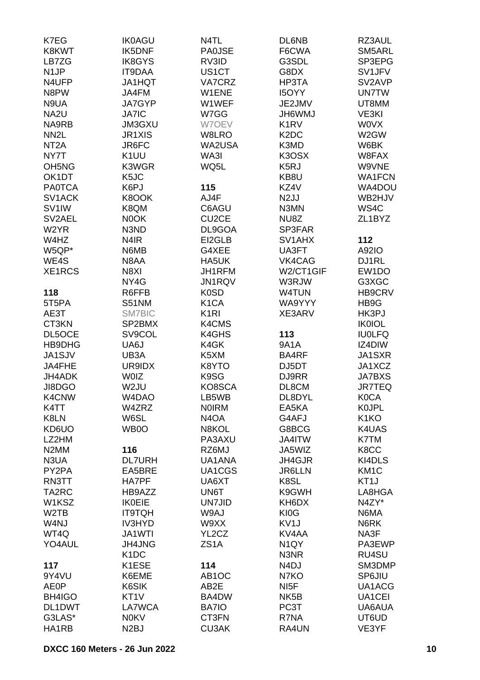| K7EG                           | <b>IK0AGU</b>     | N4TL               | DL6NB                         | RZ3AUL              |
|--------------------------------|-------------------|--------------------|-------------------------------|---------------------|
| K8KWT                          | <b>IK5DNF</b>     | <b>PA0JSE</b>      | F6CWA                         | SM5ARL              |
| LB7ZG                          | <b>IK8GYS</b>     | RV3ID              | G3SDL                         | SP3EPG              |
| N <sub>1</sub> JP              | <b>IT9DAA</b>     | US1CT              | G8DX                          | SV1JFV              |
| N4UFP                          | <b>JA1HQT</b>     | VA7CRZ             | HP3TA                         | SV2AVP              |
| N8PW                           | JA4FM             | W1ENE              | <b>I5OYY</b>                  | <b>UN7TW</b>        |
| N9UA                           | <b>JA7GYP</b>     | W1WEF              | JE2JMV                        | UT8MM               |
| NA <sub>2U</sub>               | <b>JA7IC</b>      | W7GG               | <b>UMW9HL</b>                 | VE3KI               |
| NA9RB                          | <b>JM3GXU</b>     | W7OEV              | K <sub>1</sub> RV             | <b>WOVX</b>         |
| NN <sub>2</sub> L              | <b>JR1XIS</b>     | W8LRO              | K <sub>2</sub> D <sub>C</sub> | W2GW                |
| NT <sub>2</sub> A              | JR6FC             | WA2USA             | K3MD                          | W6BK                |
| NY7T                           | K <sub>1</sub> UU | WA3I               | K3OSX                         | W8FAX               |
| OH <sub>5</sub> N <sub>G</sub> | K3WGR             | WQ5L               | K5RJ                          | W9VNE               |
| OK1DT                          | K <sub>5</sub> JC |                    | KB8U                          | <b>WA1FCN</b>       |
| <b>PA0TCA</b>                  | K6PJ              | 115                | KZ4V                          | WA4DOU              |
| SV <sub>1</sub> ACK            | K8OOK             | AJ4F               | N <sub>2</sub> JJ             | WB2HJV              |
| SV <sub>1</sub> IW             | K8QM              | C6AGU              | N3MN                          | WS4C                |
| SV <sub>2</sub> AEL            | N0OK              | CU <sub>2</sub> CE | NU8Z                          | ZL <sub>1</sub> BYZ |
| W <sub>2</sub> YR              | N3ND              | DL9GOA             | SP3FAR                        |                     |
| W4HZ                           | N <sub>4</sub> IR | EI2GLB             | SV1AHX                        | 112                 |
| W5QP*                          | N6MB              | G4XEE              | UA3FT                         | A92IO               |
| WE4S                           | N8AA              | HA5UK              | VK4CAG                        | DJ1RL               |
| XE1RCS                         | N8XI              | JH1RFM             | W2/CT1GIF                     | EW1DO               |
|                                | NY4G              | JN1RQV             | W3RJW                         | G3XGC               |
| 118                            | R6FFB             | <b>K0SD</b>        | W4TUN                         | HB9CRV              |
| 5T5PA                          | S51NM             | K <sub>1</sub> CA  | WA9YYY                        | HB9G                |
| AE3T                           | <b>SM7BIC</b>     | K <sub>1</sub> RI  | XE3ARV                        | HK3PJ               |
| CT3KN                          | SP2BMX            | K4CMS              |                               | <b>IK0IOL</b>       |
| DL5OCE                         | SV9COL            | K4GHS              | 113                           | <b>IU0LFQ</b>       |
| HB9DHG                         | UA6J              | K4GK               | 9A1A                          | IZ4DIW              |
| JA1SJV                         | UB3A              | K5XM               | BA4RF                         | JA1SXR              |
| JA4FHE                         | UR9IDX            | K8YTO              | DJ5DT                         | JA1XCZ              |
| JH4ADK                         | <b>WOIZ</b>       | K9SG               | DJ9RR                         | <b>JA7BXS</b>       |
| JI8DGO                         | W <sub>2JU</sub>  | KO8SCA             | DL8CM                         | <b>JR7TEQ</b>       |
| K4CNW                          | W4DAO             | LB5WB              | DL8DYL                        | <b>K0CA</b>         |
| K4TT                           | W4ZRZ             | <b>NOIRM</b>       | EA5KA                         | <b>KOJPL</b>        |
| K8LN                           | W6SL              | N <sub>4</sub> OA  | G4AFJ                         | K <sub>1</sub> KO   |
| KD6UO                          | WB0O              | N8KOL              | G8BCG                         | K4UAS               |
| LZ2HM                          |                   | PA3AXU             | JA4ITW                        | K7TM                |
| N <sub>2</sub> MM              | 116               | RZ6MJ              | JA5WIZ                        | K8CC                |
| N3UA                           | <b>DL7URH</b>     | UA1ANA             | JH4GJR                        | KI4DLS              |
| PY2PA                          | EA5BRE            | UA1CGS             | <b>JR6LLN</b>                 | KM <sub>1</sub> C   |
| RN3TT                          | HA7PF             | UA6XT              | K8SL                          | KT <sub>1</sub> J   |
| TA2RC                          | HB9AZZ            | UN6T               | K9GWH                         | LA8HGA              |
| W1KSZ                          | <b>IK0EIE</b>     | <b>UN7JID</b>      | KH6DX                         | N4ZY*               |
| W <sub>2</sub> TB              | <b>IT9TQH</b>     | W9AJ               | KI0G                          | N6MA                |
| W4NJ                           | <b>IV3HYD</b>     | W9XX               | KV <sub>1</sub> J             | N6RK                |
| WT4Q                           | <b>JA1WTI</b>     | YL2CZ              | KV4AA                         | NA3F                |
| YO4AUL                         | <b>JH4JNG</b>     | ZS <sub>1</sub> A  | N <sub>1</sub> QY             | PA3EWP              |
|                                | K <sub>1</sub> DC |                    | N3NR                          | RU4SU               |
| 117                            | K1ESE             | 114                | N <sub>4</sub> DJ             | SM3DMP              |
| 9Y4VU                          | K6EME             | AB <sub>1</sub> OC | N7KO                          | SP6JIU              |
| <b>AE0P</b>                    | K6SIK             | AB2E               | NI <sub>5</sub> F             | UA1ACG              |
| BH4IGO                         | KT <sub>1</sub> V | BA4DW              | NK <sub>5</sub> B             | UA1CEI              |
| DL1DWT                         | LA7WCA            | <b>BA7IO</b>       | PC3T                          | UA6AUA              |
| G3LAS*                         | <b>N0KV</b>       | CT3FN              | R7NA                          | UT6UD               |
| HA1RB                          | N <sub>2</sub> BJ | <b>CU3AK</b>       | RA4UN                         | VE3YF               |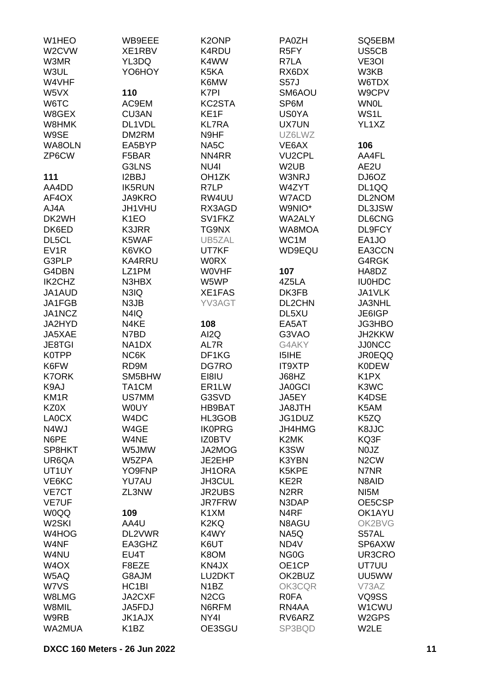| W1HEO              | WB9EEE            | K <sub>2</sub> ONP            | <b>PA0ZH</b>      | SQ5EBM                        |
|--------------------|-------------------|-------------------------------|-------------------|-------------------------------|
| W2CVW              | XE1RBV            | K4RDU                         | R <sub>5</sub> FY | US5CB                         |
| W3MR               | YL3DQ             | K4WW                          | R7LA              | VE3OI                         |
| W3UL               | YO6HOY            | K5KA                          | RX6DX             | W3KB                          |
| W4VHF              |                   | K6MW                          | <b>S57J</b>       | W6TDX                         |
| W5VX               | 110               | K7PI                          | SM6AOU            | W9CPV                         |
| W6TC               | AC9EM             | KC2STA                        | SP6M              | <b>WN0L</b>                   |
| W8GEX              | <b>CU3AN</b>      | KE1F                          | <b>US0YA</b>      | WS1L                          |
| W8HMK              | DL1VDL            | <b>KL7RA</b>                  | <b>UX7UN</b>      | YL1XZ                         |
|                    |                   |                               |                   |                               |
| W9SE               | DM2RM             | N9HF                          | UZ6LWZ            |                               |
| WA8OLN             | EA5BYP            | NA <sub>5</sub> C             | VE6AX             | 106                           |
| ZP6CW              | F5BAR             | NN4RR                         | <b>VU2CPL</b>     | AA4FL                         |
|                    | G3LNS             | NU <sub>4</sub>               | W <sub>2</sub> UB | AE2U                          |
| 111                | I2BBJ             | OH <sub>1</sub> ZK            | W3NRJ             | DJ6OZ                         |
| AA4DD              | <b>IK5RUN</b>     | R7LP                          | W4ZYT             | DL1QQ                         |
| AF4OX              | <b>JA9KRO</b>     | RW4UU                         | W7ACD             | DL2NOM                        |
| AJ4A               | JH1VHU            | RX3AGD                        | W9NIO*            | DL3JSW                        |
| DK2WH              | K <sub>1</sub> EO | SV1FKZ                        | WA2ALY            | <b>DL6CNG</b>                 |
| DK6ED              | K3JRR             | TG9NX                         | WA8MOA            | DL9FCY                        |
| DL5CL              | K5WAF             | UB5ZAL                        | WC1M              | EA1JO                         |
| EV <sub>1</sub> R  | K6VKO             | UT7KF                         | WD9EQU            | EA3CCN                        |
| G3PLP              | <b>KA4RRU</b>     | <b>WORX</b>                   |                   | G4RGK                         |
| G4DBN              | LZ1PM             | <b>WOVHF</b>                  | 107               | HA8DZ                         |
| IK2CHZ             | N3HBX             | W5WP                          | 4Z5LA             | <b>IU0HDC</b>                 |
| JA1AUD             | N3IQ              | XE1FAS                        | DK3FB             | JA1VLK                        |
| JA1FGB             | N3JB              | YV3AGT                        | <b>DL2CHN</b>     | <b>JA3NHL</b>                 |
| JA1NCZ             | N4IQ              |                               | DL5XU             | JE6IGP                        |
| JA2HYD             | N4KE              | 108                           | EA5AT             | JG3HBO                        |
| JA5XAE             | N7BD              | AI2Q                          | G3VAO             | JH2KKW                        |
| <b>JE8TGI</b>      | NA1DX             | AL7R                          | G4AKY             | <b>JJ0NCC</b>                 |
| <b>K0TPP</b>       | NC6K              | DF1KG                         | I5IHE             | <b>JR0EQQ</b>                 |
| K6FW               | RD9M              | DG7RO                         | IT9XTP            | <b>K0DEW</b>                  |
| <b>K7ORK</b>       | SM5BHW            | EI8IU                         | J68HZ             | K <sub>1</sub> P <sub>X</sub> |
| K9AJ               | TA1CM             | ER <sub>1</sub> LW            | <b>JA0GCI</b>     | K3WC                          |
| KM <sub>1R</sub>   | US7MM             | G3SVD                         | JA5EY             | K4DSE                         |
|                    |                   |                               |                   |                               |
| KZ0X               | <b>WOUY</b>       | HB9BAT                        | <b>HTL8AL</b>     | K5AM                          |
| LA0CX              | W4DC              | HL3GOB                        | JG1DUZ            | K5ZQ                          |
| N4WJ               | W4GE              | <b>IK0PRG</b>                 | JH4HMG            | K8JJC                         |
| N6PE               | W4NE              | <b>IZ0BTV</b>                 | K <sub>2</sub> MK | KQ3F                          |
| SP8HKT             | W5JMW             | JA2MOG                        | K3SW              | N0JZ                          |
| UR6QA              | W5ZPA             | JE2EHP                        | K3YBN             | N <sub>2</sub> CW             |
| UT1UY              | YO9FNP            | JH1ORA                        | K5KPE             | N7NR                          |
| VE6KC              | YU7AU             | JH3CUL                        | KE2R              | N8AID                         |
| <b>VE7CT</b>       | ZL3NW             | <b>JR2UBS</b>                 | N <sub>2</sub> RR | NI <sub>5</sub> M             |
| <b>VE7UF</b>       |                   | <b>JR7FRW</b>                 | N3DAP             | OE5CSP                        |
| <b>WOQQ</b>        | 109               | K <sub>1</sub> XM             | N <sub>4</sub> RF | OK1AYU                        |
| W <sub>2</sub> SKI | AA4U              | K2KQ                          | N8AGU             | OK2BVG                        |
| W4HOG              | DL2VWR            | K4WY                          | NA5Q              | S57AL                         |
| W4NF               | EA3GHZ            | K6UT                          | ND4V              | SP6AXW                        |
| W4NU               | EU4T              | K8OM                          | NG <sub>0</sub> G | UR3CRO                        |
| W <sub>4</sub> OX  | F8EZE             | KN4JX                         | OE1CP             | UT7UU                         |
| W5AQ               | G8AJM             | LU2DKT                        | OK2BUZ            | UU5WW                         |
| W7VS               | HC1BI             | N <sub>1</sub> BZ             | OK3CQR            | V73AZ                         |
| W8LMG              | JA2CXF            | N <sub>2</sub> C <sub>G</sub> | <b>ROFA</b>       | VQ9SS                         |
| W8MIL              | JA5FDJ            | N6RFM                         | RN4AA             | W1CWU                         |
| W9RB               | <b>JK1AJX</b>     | NY <sub>4</sub> I             | RV6ARZ            | W <sub>2</sub> GPS            |
| WA2MUA             | K <sub>1</sub> BZ | OE3SGU                        | SP3BQD            | W2LE                          |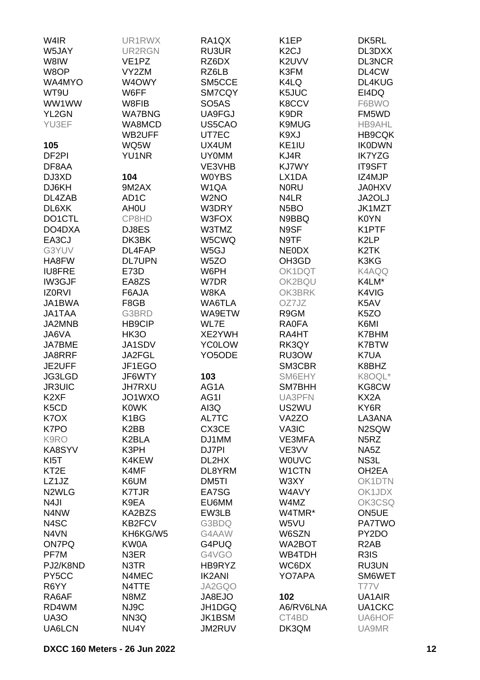| W4IR                          | UR1RWX             | RA <sub>1</sub> QX  | K <sub>1</sub> EP  | DK5RL              |
|-------------------------------|--------------------|---------------------|--------------------|--------------------|
| W5JAY                         | UR2RGN             | <b>RU3UR</b>        | K <sub>2</sub> CJ  | DL3DXX             |
| W8IW                          | VE <sub>1</sub> PZ | RZ6DX               | K2UVV              | <b>DL3NCR</b>      |
| W8OP                          | VY2ZM              | RZ6LB               | K3FM               | DL4CW              |
| WA4MYO                        | W4OWY              | SM5CCE              | K4LQ               | DL4KUG             |
| WT9U                          | W6FF               | SM7CQY              | K5JUC              | EI4DQ              |
| WW1WW                         | W8FIB              | SO <sub>5</sub> AS  | K8CCV              | F6BWO              |
| YL2GN                         | <b>WA7BNG</b>      | UA9FGJ              | K9DR               | FM5WD              |
| YU3EF                         | WA8MCD             |                     |                    |                    |
|                               |                    | US5CAO              | K9MUG              | <b>HB9AHL</b>      |
|                               | WB2UFF             | UT7EC               | K9XJ               | <b>HB9CQK</b>      |
| 105                           | WQ5W               | UX4UM               | KE1IU              | <b>IK0DWN</b>      |
| DF <sub>2PI</sub>             | <b>YU1NR</b>       | <b>UY0MM</b>        | KJ4R               | <b>IK7YZG</b>      |
| DF8AA                         |                    | VE3VHB              | KJ7WY              | <b>IT9SFT</b>      |
| DJ3XD                         | 104                | <b>W0YBS</b>        | LX1DA              | IZ4MJP             |
| DJ6KH                         | 9M2AX              | W <sub>1</sub> QA   | <b>NORU</b>        | <b>JA0HXV</b>      |
| DL4ZAB                        | AD <sub>1</sub> C  | W <sub>2</sub> NO   | N4LR               | JA2OLJ             |
| DL6XK                         | AH <sub>0</sub> U  | W3DRY               | N <sub>5</sub> BO  | JK1MZT             |
| DO1CTL                        | CP8HD              | W3FOX               | N9BBQ              | <b>K0YN</b>        |
| DO4DXA                        | DJ8ES              | W3TMZ               | N9SF               | K1PTF              |
| EA3CJ                         | DK3BK              | W5CWQ               | N9TF               | K <sub>2</sub> LP  |
| G3YUV                         | DL4FAP             | W <sub>5</sub> GJ   | <b>NEODX</b>       | K <sub>2</sub> TK  |
| HA8FW                         | <b>DL7UPN</b>      | W <sub>5</sub> ZO   | OH3GD              | K3KG               |
| <b>IU8FRE</b>                 | E73D               | W6PH                | OK1DQT             | K4AQQ              |
| <b>IW3GJF</b>                 | EA8ZS              | W7DR                | OK2BQU             | K4LM*              |
| <b>IZORVI</b>                 | F6AJA              | W8KA                | OK3BRK             | K4VIG              |
| JA1BWA                        | F8GB               | WA6TLA              | OZ7JZ              | K5AV               |
| <b>JA1TAA</b>                 | G3BRD              | WA9ETW              | R9GM               | K <sub>5</sub> ZO  |
| JA2MNB                        | <b>HB9CIP</b>      | WL7E                | <b>RA0FA</b>       | K6MI               |
| JA6VA                         | HK3O               | XE2YWH              | RA4HT              | K7BHM              |
| <b>JA7BME</b>                 | JA1SDV             | <b>YC0LOW</b>       | RK3QY              | <b>K7BTW</b>       |
| JA8RRF                        | JA2FGL             | YO <sub>5</sub> ODE | RU3OW              | K7UA               |
| JE2UFF                        | JF1EGO             |                     | SM3CBR             | K8BHZ              |
| JG3LGD                        | JF6WTY             | 103                 | SM6EHY             | K8OQL*             |
| <b>JR3UIC</b>                 | <b>JH7RXU</b>      | AG1A                | SM7BHH             | KG8CW              |
|                               |                    |                     |                    |                    |
| K <sub>2</sub> XF             | JO1WXO             | AG1I                | UA3PFN             | KX2A               |
| K <sub>5</sub> C <sub>D</sub> | <b>K0WK</b>        | AI3Q                | US2WU              | KY6R               |
| K <sub>7</sub> O <sub>X</sub> | K <sub>1</sub> BG  | AL7TC               | VA <sub>2</sub> ZO | LA3ANA             |
| K7PO                          | K <sub>2</sub> BB  | CX3CE               | VA3IC              | N2SQW              |
| K9RO                          | K2BLA              | DJ1MM               | VE3MFA             | N <sub>5</sub> RZ  |
| KA8SYV                        | K3PH               | DJ7PI               | VE3VV              | NA5Z               |
| KI <sub>5</sub> T             | K4KEW              | DL2HX               | <b>WOUVC</b>       | NS3L               |
| KT <sub>2</sub> E             | K4MF               | DL8YRM              | W1CTN              | OH <sub>2</sub> EA |
| LZ1JZ                         | K6UM               | DM5TI               | W3XY               | OK1DTN             |
| N <sub>2</sub> WLG            | <b>K7TJR</b>       | EA7SG               | W4AVY              | OK1JDX             |
| N <sub>4</sub> JI             | K9EA               | EU6MM               | W4MZ               | OK3CSQ             |
| N4NW                          | KA2BZS             | EW3LB               | W4TMR*             | ON5UE              |
| N4SC                          | KB2FCV             | G3BDQ               | W5VU               | <b>PA7TWO</b>      |
| N4VN                          | KH6KG/W5           | G4AAW               | W6SZN              | PY2DO              |
| <b>ON7PQ</b>                  | KW0A               | G4PUQ               | WA2BOT             | R <sub>2</sub> AB  |
| PF7M                          | N3ER               | G4VGO               | WB4TDH             | R3IS               |
| PJ2/K8ND                      | N3TR               | HB9RYZ              | WC6DX              | RU3UN              |
| PY5CC                         | N4MEC              | <b>IK2ANI</b>       | YO7APA             | SM6WET             |
| R <sub>6</sub> YY             | N4TTE              | JA2GQO              |                    | <b>T77V</b>        |
| RA6AF                         | N8MZ               | JA8EJO              | 102                | UA1AIR             |
| RD4WM                         | NJ9C               | JH1DGQ              | A6/RV6LNA          | UA1CKC             |
| <b>UA30</b>                   | NN3Q               | JK1BSM              | CT4BD              | UA6HOF             |
| UA6LCN                        | NU4Y               | JM2RUV              | DK3QM              | UA9MR              |
|                               |                    |                     |                    |                    |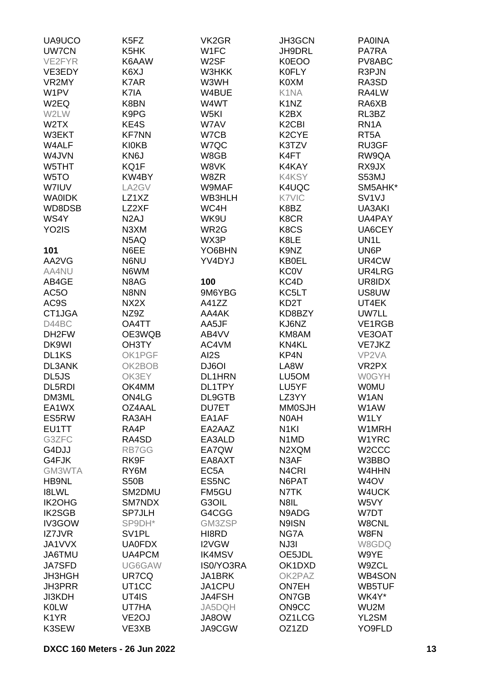| UA9UCO             | K5FZ               | VK <sub>2</sub> GR | <b>JH3GCN</b>                  | <b>PA0INA</b>      |
|--------------------|--------------------|--------------------|--------------------------------|--------------------|
| <b>UW7CN</b>       | K5HK               | W1FC               | JH9DRL                         | PA7RA              |
| VE2FYR             | K6AAW              | W <sub>2</sub> SF  | <b>K0EOO</b>                   | PV8ABC             |
| VE3EDY             | K6XJ               | W3HKK              | <b>K0FLY</b>                   | R3PJN              |
| VR2MY              | K7AR               | W3WH               | K0XM                           | RA3SD              |
|                    |                    |                    |                                |                    |
| W1PV               | K7IA               | W4BUE              | K1NA                           | RA4LW              |
| W <sub>2</sub> EQ  | K8BN               | W4WT               | K <sub>1</sub> N <sub>Z</sub>  | RA6XB              |
| W2LW               | K9PG               | W5KI               | K <sub>2</sub> B <sub>X</sub>  | RL3BZ              |
| W2TX               | KE4S               | W7AV               | K <sub>2</sub> C <sub>BI</sub> | RN <sub>1</sub> A  |
| W3EKT              | <b>KF7NN</b>       | W7CB               | K <sub>2</sub> CYE             | RT <sub>5</sub> A  |
| W4ALF              | <b>KI0KB</b>       | W7QC               | K3TZV                          | RU3GF              |
| W4JVN              | KN6J               | W8GB               | K4FT                           | RW9QA              |
| W5THT              | KQ1F               | W8VK               | K4KAY                          | RX9JX              |
| W <sub>5</sub> TO  | KW4BY              | W8ZR               | K4KSY                          | S53MJ              |
| W7IUV              | LA2GV              | W9MAF              | K4UQC                          | SM5AHK*            |
| <b>WAOIDK</b>      | LZ1XZ              | WB3HLH             | K7VIC                          | SV <sub>1V</sub> J |
| WD8DSB             | LZ2XF              | WC4H               | K8BZ                           | UA3AKI             |
|                    |                    |                    |                                |                    |
| WS4Y               | N <sub>2</sub> AJ  | WK9U               | K8CR                           | UA4PAY             |
| YO <sub>2</sub> IS | N3XM               | WR2G               | K8CS                           | UA6CEY             |
|                    | N5AQ               | WX3P               | K8LE                           | UN1L               |
| 101                | N6EE               | YO6BHN             | K9NZ                           | UN6P               |
| AA2VG              | N6NU               | YV4DYJ             | <b>KB0EL</b>                   | UR4CW              |
| AA4NU              | N6WM               |                    | <b>KC0V</b>                    | UR4LRG             |
| AB4GE              | N8AG               | 100                | KC4D                           | UR8IDX             |
| AC <sub>5</sub> O  | N8NN               | 9M6YBG             | KC5LT                          | US8UW              |
| AC9S               | NX2X               | A41ZZ              | KD2T                           | UT4EK              |
| CT1JGA             | NZ9Z               | AA4AK              | KD8BZY                         | <b>UW7LL</b>       |
| D44BC              | OA4TT              | AA5JF              | KJ6NZ                          | VE1RGB             |
| DH <sub>2</sub> FW | OE3WQB             | AB4VV              | KM8AM                          | VE3OAT             |
| DK9WI              | OH3TY              | AC4VM              | KN4KL                          | VE7JKZ             |
|                    |                    |                    |                                |                    |
| DL1KS              | OK1PGF             | AI2S               | KP4N                           | VP2VA              |
| DL3ANK             | OK2BOB             | DJ6OI              | LA8W                           | VR <sub>2</sub> PX |
| DL5JS              | OK3EY              | <b>DL1HRN</b>      | LU5OM                          | <b>W0GYH</b>       |
| DL5RDI             | OK4MM              | DL1TPY             | LU5YF                          | <b>WOMU</b>        |
| DM3ML              | ON4LG              | DL9GTB             | LZ3YY                          | W1AN               |
| EA1WX              | OZ4AAL             | DU7ET              | <b>MM0SJH</b>                  | W1AW               |
| ES5RW              | RA3AH              | EA1AF              | N0AH                           | W1LY               |
| EU1TT              | RA4P               | EA2AAZ             | N <sub>1</sub> KI              | W1MRH              |
| G3ZFC              | RA4SD              | EA3ALD             | N <sub>1</sub> M <sub>D</sub>  | W1YRC              |
| G4DJJ              | RB7GG              | EA7QW              | N2XQM                          | W <sub>2</sub> CCC |
| G4FJK              | RK9F               | EA8AXT             | N3AF                           | W3BBO              |
| GM3WTA             | RY6M               | EC <sub>5</sub> A  | N <sub>4</sub> CRI             | W4HHN              |
| <b>HB9NL</b>       | <b>S50B</b>        | ES5NC              | N6PAT                          | W <sub>4</sub> OV  |
| <b>I8LWL</b>       | SM2DMU             | FM5GU              | N7TK                           | W4UCK              |
|                    |                    |                    |                                |                    |
| IK2OHG             | SM7NDX             | G3OIL              | N8IL                           | W5VY               |
| <b>IK2SGB</b>      | <b>SP7JLH</b>      | G4CGG              | N9ADG                          | W7DT               |
| <b>IV3GOW</b>      | SP9DH*             | GM3ZSP             | N9ISN                          | W8CNL              |
| IZ7JVR             | SV <sub>1</sub> PL | HI8RD              | NG7A                           | W8FN               |
| JA1VVX             | <b>UA0FDX</b>      | I2VGW              | NJ3I                           | W8GDQ              |
| JA6TMU             | UA4PCM             | <b>IK4MSV</b>      | OE5JDL                         | W9YE               |
| JA7SFD             | UG6GAW             | IS0/YO3RA          | OK1DXD                         | W9ZCL              |
| <b>JH3HGH</b>      | UR7CQ              | JA1BRK             | OK2PAZ                         | WB4SON             |
| <b>JH3PRR</b>      | UT <sub>1</sub> CC | JA1CPU             | <b>ON7EH</b>                   | WB5TUF             |
| <b>JI3KDH</b>      | UT4IS              | <b>JA4FSH</b>      | ON7GB                          | WK4Y*              |
| <b>K0LW</b>        | UT7HA              | JA5DQH             | ON9CC                          | WU2M               |
| K <sub>1</sub> YR  | VE <sub>2</sub> OJ | JA8OW              | OZ1LCG                         | YL2SM              |
| K3SEW              | VE3XB              | JA9CGW             | OZ1ZD                          | YO9FLD             |
|                    |                    |                    |                                |                    |